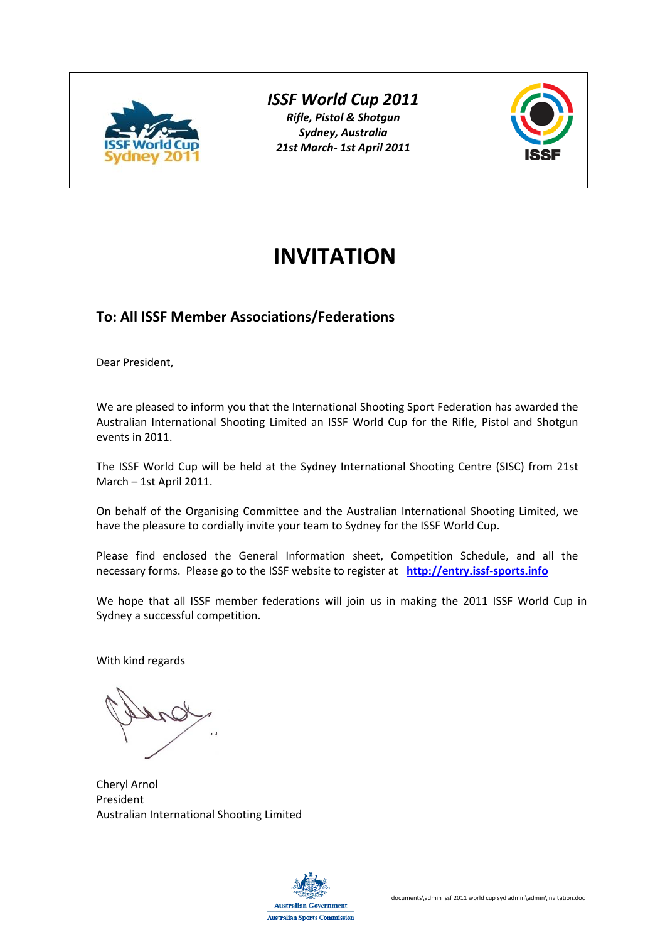

## *ISSF World Cup 2011*

*Rifle, Pistol & Shotgun Sydney, Australia 21st March‐ 1st April 2011*



# **INVITATION**

# **To: All ISSF Member Associations/Federations**

Dear President,

We are pleased to inform you that the International Shooting Sport Federation has awarded the Australian International Shooting Limited an ISSF World Cup for the Rifle, Pistol and Shotgun events in 2011.

The ISSF World Cup will be held at the Sydney International Shooting Centre (SISC) from 21st March – 1st April 2011.

On behalf of the Organising Committee and the Australian International Shooting Limited, we have the pleasure to cordially invite your team to Sydney for the ISSF World Cup.

Please find enclosed the General Information sheet, Competition Schedule, and all the necessary forms. Please go to the ISSF website to register at **http://entry.issf‐sports.info** 

We hope that all ISSF member federations will join us in making the 2011 ISSF World Cup in Sydney a successful competition.

With kind regards

Cheryl Arnol President Australian International Shooting Limited

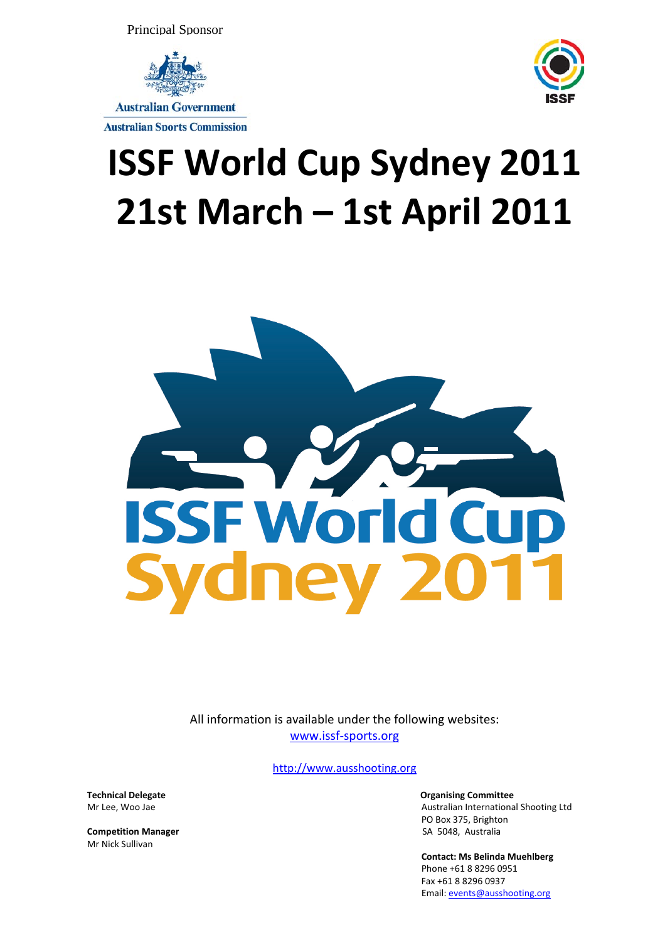Principal Sponsor



#### **Australian Sports Commission**

# **ISSF World Cup Sydney 2011 21st March – 1st April 2011**



All information is available under the following websites: www.issf‐sports.org

http://www.ausshooting.org

**Competition Manager 12 Competition Manager 12 Competition Manager 12 Competition Manager 12 Competition Manager 12 Competition Manager 12 Competition Manager 12 Competition Manager 12 Computer 12 Comput** Mr Nick Sullivan

**Technical Delegate**<br> **Setting Committee**<br> **Setting Committee** Mr Lee. Woo Jae **of the contract of the contract of the contract of the contract of the contract of the contract of the contract of the contract of the contract of the contract of the contract of the contract of the contra** PO Box 375, Brighton

> **Contact: Ms Belinda Muehlberg** Phone +61 8 8296 0951 Fax +61 8 8296 0937 Email: events@ausshooting.org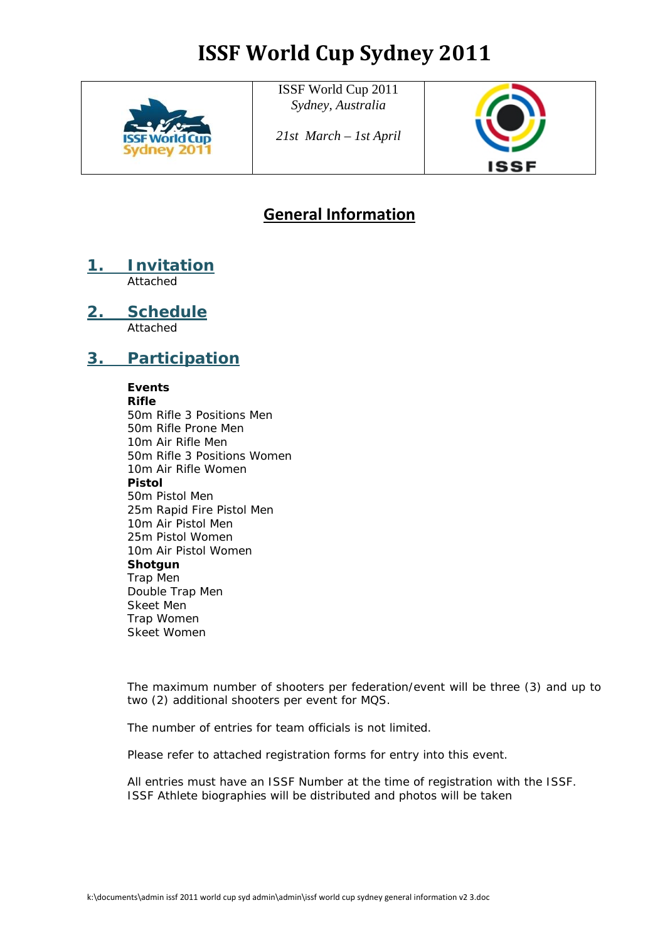

ISSF World Cup 2011 *Sydney, Australia* 

*21st March – 1st April*



# **General Information**

**1. Invitation** Attached

**2. Schedule**

Attached

# **3. Participation**

## **Events**

**Rifle**  50m Rifle 3 Positions Men 50m Rifle Prone Men 10m Air Rifle Men 50m Rifle 3 Positions Women 10m Air Rifle Women **Pistol** 50m Pistol Men 25m Rapid Fire Pistol Men 10m Air Pistol Men 25m Pistol Women 10m Air Pistol Women **Shotgun** Trap Men Double Trap Men Skeet Men Trap Women Skeet Women

 The maximum number of shooters per federation/event will be three (3) and up to two (2) additional shooters per event for MQS.

The number of entries for team officials is not limited.

Please refer to attached registration forms for entry into this event.

 All entries must have an ISSF Number at the time of registration with the ISSF. ISSF Athlete biographies will be distributed and photos will be taken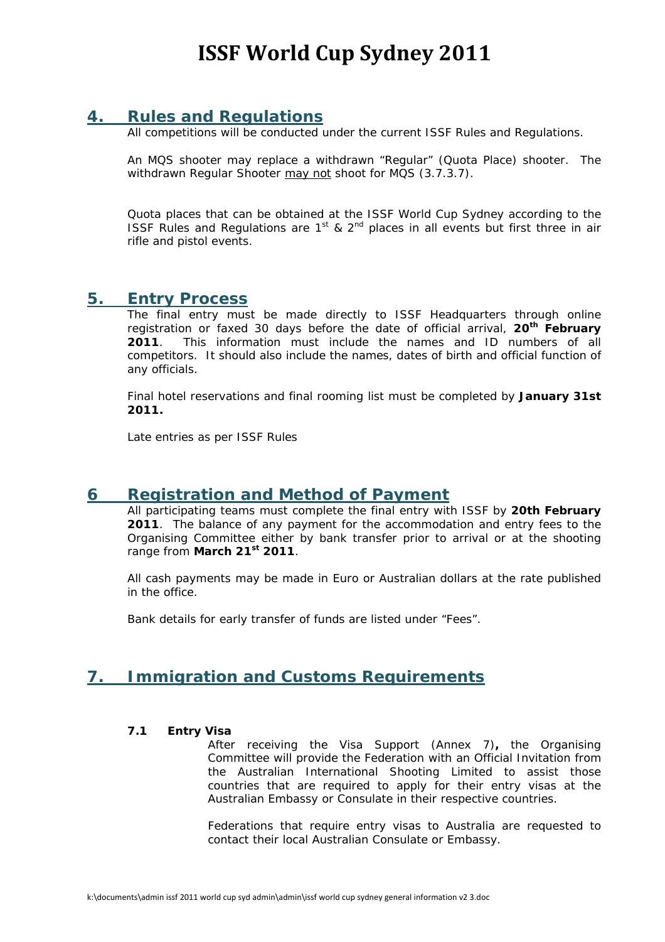### **4. Rules and Regulations**

All competitions will be conducted under the current ISSF Rules and Regulations.

 An MQS shooter may replace a withdrawn "Regular" (Quota Place) shooter. The withdrawn Regular Shooter may not shoot for MQS (3.7.3.7).

Quota places that can be obtained at the ISSF World Cup Sydney according to the ISSF Rules and Regulations are  $1<sup>st</sup>$  &  $2<sup>nd</sup>$  places in all events but first three in air rifle and pistol events.

### **5. Entry Process**

The final entry must be made directly to ISSF Headquarters through online registration or faxed 30 days before the date of official arrival, **20th February 2011**. This information must include the names and ID numbers of all competitors. It should also include the names, dates of birth and official function of any officials.

 Final hotel reservations and final rooming list must be completed by **January 31st 2011.** 

Late entries as per ISSF Rules

### **6 Registration and Method of Payment**

 All participating teams must complete the final entry with ISSF by **20th February 2011**. The balance of any payment for the accommodation and entry fees to the Organising Committee either by bank transfer prior to arrival or at the shooting range from **March 21st 2011**.

 All cash payments may be made in Euro or Australian dollars at the rate published in the office.

Bank details for early transfer of funds are listed under "Fees".

# **7. Immigration and Customs Requirements**

#### **7.1 Entry Visa**

 After receiving the Visa Support (Annex 7)**,** the Organising Committee will provide the Federation with an Official Invitation from the Australian International Shooting Limited to assist those countries that are required to apply for their entry visas at the Australian Embassy or Consulate in their respective countries.

 Federations that require entry visas to Australia are requested to contact their local Australian Consulate or Embassy.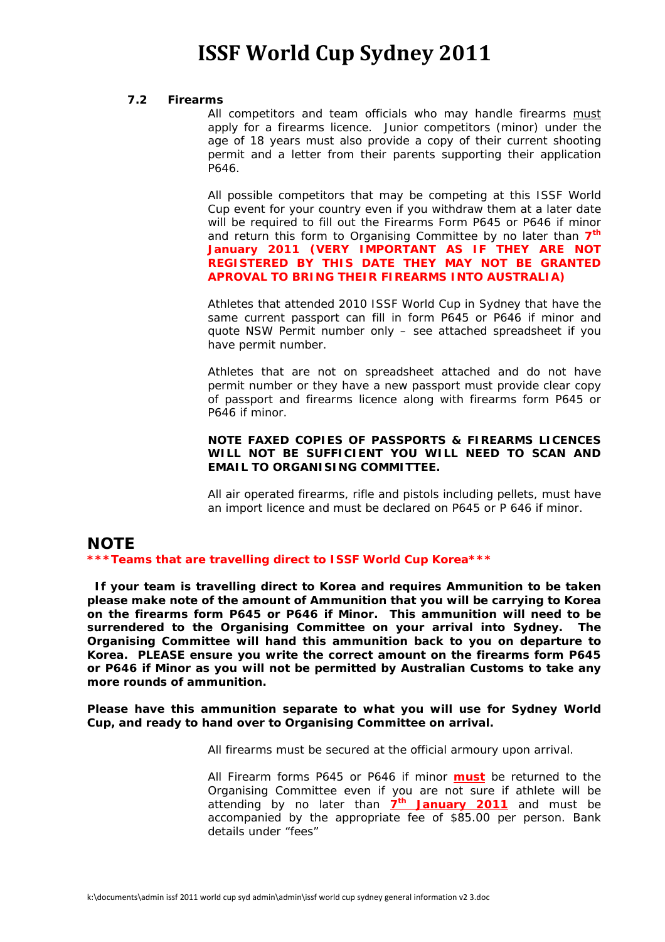#### **7.2 Firearms**

All competitors and team officials who may handle firearms must apply for a firearms licence. Junior competitors (minor) under the age of 18 years must also provide a copy of their current shooting permit and a letter from their parents supporting their application P646.

 All possible competitors that may be competing at this ISSF World Cup event for your country even if you withdraw them at a later date will be required to fill out the Firearms Form P645 or P646 if minor and return this form to Organising Committee by no later than **7th January 2011 (VERY IMPORTANT AS IF THEY ARE NOT REGISTERED BY THIS DATE THEY MAY NOT BE GRANTED APROVAL TO BRING THEIR FIREARMS INTO AUSTRALIA)**

Athletes that attended 2010 ISSF World Cup in Sydney that have the same current passport can fill in form P645 or P646 if minor and quote NSW Permit number only – see attached spreadsheet if you have permit number.

Athletes that are not on spreadsheet attached and do not have permit number or they have a new passport must provide clear copy of passport and firearms licence along with firearms form P645 or P646 if minor.

#### *NOTE FAXED COPIES OF PASSPORTS & FIREARMS LICENCES WILL NOT BE SUFFICIENT YOU WILL NEED TO SCAN AND EMAIL TO ORGANISING COMMITTEE.*

All air operated firearms, rifle and pistols including pellets, must have an import licence and must be declared on P645 or P 646 if minor.

# **NOTE**

*\*\*\*Teams that are travelling direct to ISSF World Cup Korea\*\*\** 

 *If your team is travelling direct to Korea and requires Ammunition to be taken please make note of the amount of Ammunition that you will be carrying to Korea on the firearms form P645 or P646 if Minor. This ammunition will need to be surrendered to the Organising Committee on your arrival into Sydney. The Organising Committee will hand this ammunition back to you on departure to Korea. PLEASE ensure you write the correct amount on the firearms form P645 or P646 if Minor as you will not be permitted by Australian Customs to take any more rounds of ammunition.* 

#### *Please have this ammunition separate to what you will use for Sydney World Cup, and ready to hand over to Organising Committee on arrival.*

All firearms must be secured at the official armoury upon arrival.

 All Firearm forms P645 or P646 if minor **must** be returned to the Organising Committee even if you are not sure if athlete will be attending by no later than **7th January 2011** and must be accompanied by the appropriate fee of \$85.00 per person. Bank details under "fees"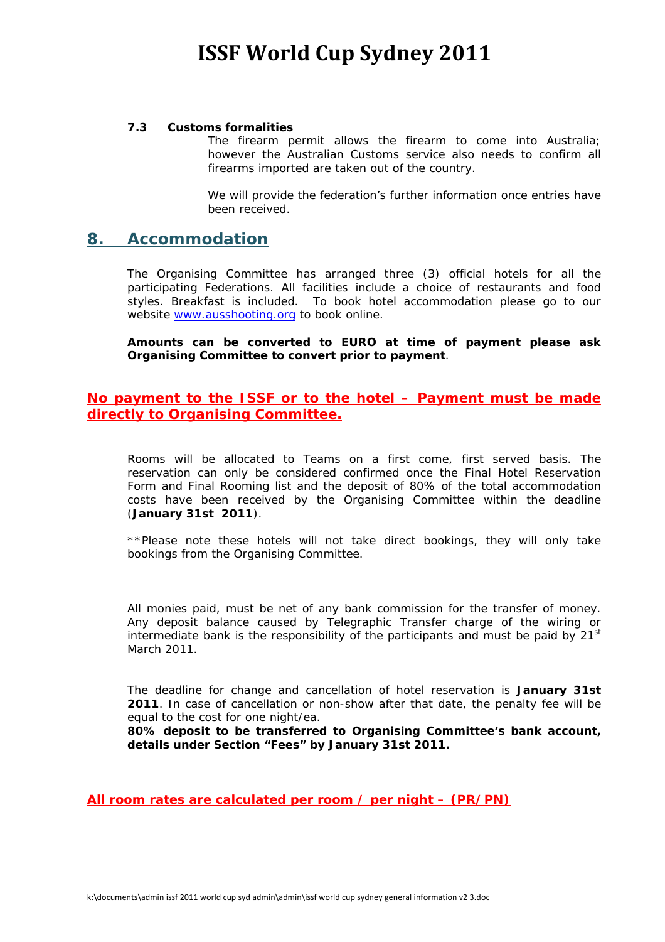#### **7.3 Customs formalities**

 The firearm permit allows the firearm to come into Australia; however the Australian Customs service also needs to confirm all firearms imported are taken out of the country.

We will provide the federation's further information once entries have been received.

### **8. Accommodation**

 The Organising Committee has arranged three (3) official hotels for all the participating Federations. All facilities include a choice of restaurants and food styles. Breakfast is included. To book hotel accommodation please go to our website www.ausshooting.org to book online.

**Amounts can be converted to EURO at time of payment please ask Organising Committee to convert prior to payment**.

#### **No payment to the ISSF or to the hotel – Payment must be made directly to Organising Committee.**

Rooms will be allocated to Teams on a first come, first served basis. The reservation can only be considered confirmed once the Final Hotel Reservation Form and Final Rooming list and the deposit of 80% of the total accommodation costs have been received by the Organising Committee within the deadline (**January 31st 2011**).

*\*\*Please note these hotels will not take direct bookings, they will only take bookings from the Organising Committee*.

All monies paid, must be net of any bank commission for the transfer of money. Any deposit balance caused by Telegraphic Transfer charge of the wiring or intermediate bank is the responsibility of the participants and must be paid by  $21<sup>st</sup>$ March 2011.

The deadline for change and cancellation of hotel reservation is *January 31st 2011*. In case of cancellation or non-show after that date, the penalty fee will be equal to the cost for one night/ea.

**80% deposit to be transferred to Organising Committee's bank account, details under Section "Fees" by January 31st 2011.** 

**All room rates are calculated per room / per night – (PR/PN)**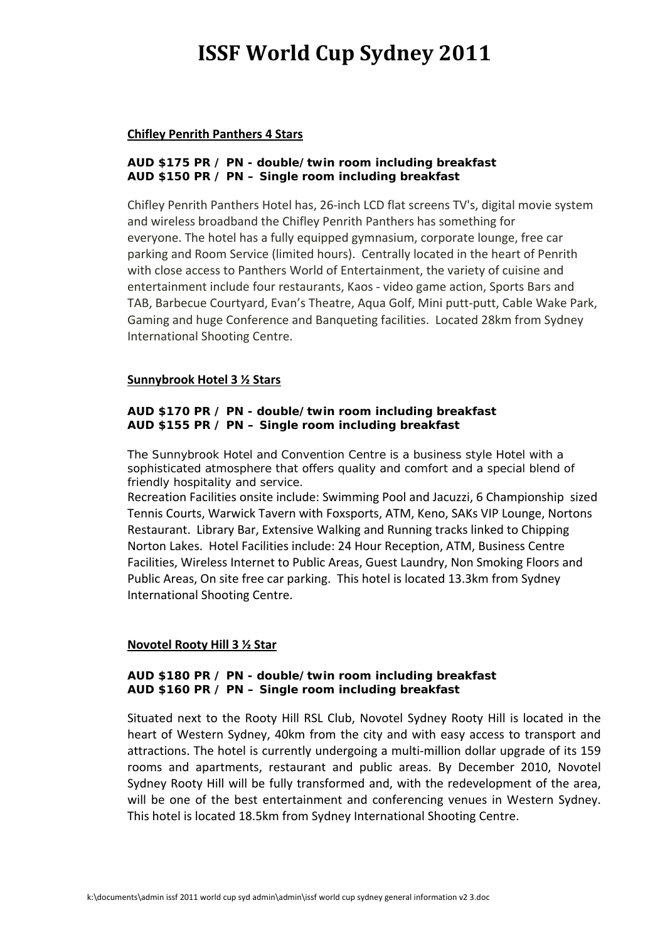#### **Chifley Penrith Panthers 4 Stars**

#### **AUD \$175 PR / PN - double/twin room including breakfast AUD \$150 PR / PN – Single room including breakfast**

Chifley Penrith Panthers Hotel has, 26‐inch LCD flat screens TV's, digital movie system and wireless broadband the Chifley Penrith Panthers has something for everyone. The hotel has a fully equipped gymnasium, corporate lounge, free car parking and Room Service (limited hours). Centrally located in the heart of Penrith with close access to Panthers World of Entertainment, the variety of cuisine and entertainment include four restaurants, Kaos ‐ video game action, Sports Bars and TAB, Barbecue Courtyard, Evan's Theatre, Aqua Golf, Mini putt‐putt, Cable Wake Park, Gaming and huge Conference and Banqueting facilities. Located 28km from Sydney International Shooting Centre.

#### **Sunnybrook Hotel 3 ½ Stars**

#### **AUD \$170 PR / PN - double/twin room including breakfast AUD \$155 PR / PN – Single room including breakfast**

The Sunnybrook Hotel and Convention Centre is a business style Hotel with a sophisticated atmosphere that offers quality and comfort and a special blend of friendly hospitality and service.

Recreation Facilities onsite include: Swimming Pool and Jacuzzi, 6 Championship sized Tennis Courts, Warwick Tavern with Foxsports, ATM, Keno, SAKs VIP Lounge, Nortons Restaurant. Library Bar, Extensive Walking and Running tracks linked to Chipping Norton Lakes. Hotel Facilities include: 24 Hour Reception, ATM, Business Centre Facilities, Wireless Internet to Public Areas, Guest Laundry, Non Smoking Floors and Public Areas, On site free car parking. This hotel is located 13.3km from Sydney International Shooting Centre.

#### **Novotel Rooty Hill 3 ½ Star**

#### **AUD \$180 PR / PN - double/twin room including breakfast AUD \$160 PR / PN – Single room including breakfast**

Situated next to the Rooty Hill RSL Club, Novotel Sydney Rooty Hill is located in the heart of Western Sydney, 40km from the city and with easy access to transport and attractions. The hotel is currently undergoing a multi‐million dollar upgrade of its 159 rooms and apartments, restaurant and public areas. By December 2010, Novotel Sydney Rooty Hill will be fully transformed and, with the redevelopment of the area, will be one of the best entertainment and conferencing venues in Western Sydney. This hotel is located 18.5km from Sydney International Shooting Centre.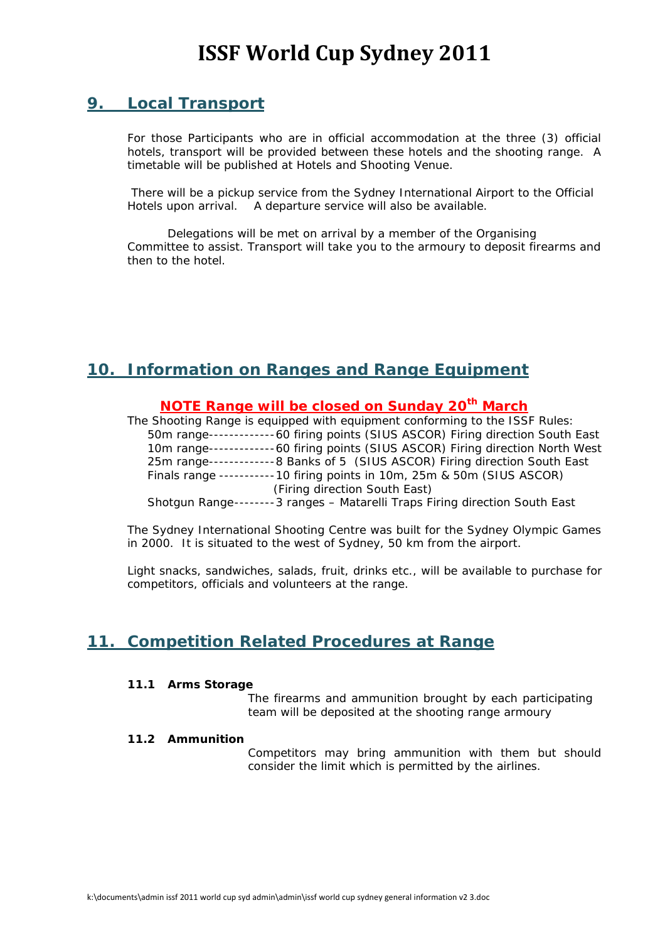# **9. Local Transport**

 For those Participants who are in official accommodation at the three (3) official hotels, transport will be provided between these hotels and the shooting range. A timetable will be published at Hotels and Shooting Venue.

 There will be a pickup service from the Sydney International Airport to the Official Hotels upon arrival. A departure service will also be available.

 Delegations will be met on arrival by a member of the Organising Committee to assist. Transport will take you to the armoury to deposit firearms and then to the hotel.

# **10. Information on Ranges and Range Equipment**

#### **NOTE Range will be closed on Sunday 20th March**

 The Shooting Range is equipped with equipment conforming to the ISSF Rules: 50m range ------------- 60 firing points (SIUS ASCOR) Firing direction South East 10m range-------------60 firing points (SIUS ASCOR) Firing direction North West 25m range ------------- 8 Banks of 5 (SIUS ASCOR) Firing direction South East Finals range ----------- 10 firing points in 10m, 25m & 50m (SIUS ASCOR) (Firing direction South East)

Shotgun Range -------- 3 ranges – Matarelli Traps Firing direction South East

The Sydney International Shooting Centre was built for the Sydney Olympic Games in 2000. It is situated to the west of Sydney, 50 km from the airport.

Light snacks, sandwiches, salads, fruit, drinks etc., will be available to purchase for competitors, officials and volunteers at the range.

# **11. Competition Related Procedures at Range**

#### **11.1 Arms Storage**

 The firearms and ammunition brought by each participating team will be deposited at the shooting range armoury

#### **11.2 Ammunition**

 Competitors may bring ammunition with them but should consider the limit which is permitted by the airlines.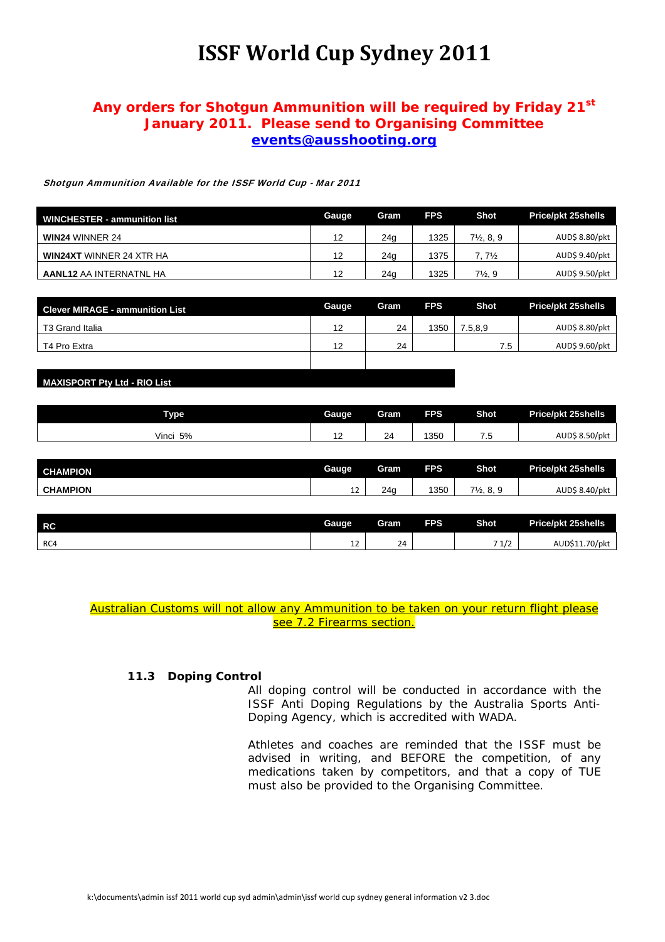### **Any orders for Shotgun Ammunition will be required by Friday 21st January 2011. Please send to Organising Committee events@ausshooting.org**

Shotgun Ammunition Available for the ISSF World Cup - Mar 2011

| <b>WINCHESTER - ammunition list</b> | Gauge | Gram            | <b>FPS</b> | Shot                  | Price/pkt 25shells |
|-------------------------------------|-------|-----------------|------------|-----------------------|--------------------|
| <b>WIN24 WINNER 24</b>              | 12    | 24g             | 1325       | $7\frac{1}{2}$ , 8, 9 | AUD\$ 8.80/pkt     |
| <b>WIN24XT WINNER 24 XTR HA</b>     | 12    | 24 <sub>q</sub> | 1375       | $7.7\%$               | AUD\$ 9.40/pkt     |
| <b>AANL12 AA INTERNATNL HA</b>      | 12    | 24a             | 1325       | $7\frac{1}{2}$ , 9    | AUD\$ 9.50/pkt     |

| <b>Clever MIRAGE - ammunition List</b> | <b>Gauge</b> | Gram | <b>FPS</b> | Shot    | <b>Price/pkt 25shells</b> |
|----------------------------------------|--------------|------|------------|---------|---------------------------|
| T3 Grand Italia                        | 12           | 24   | 1350       | 7.5,8.9 | AUD\$ 8.80/pkt            |
| T4 Pro Extra                           | 12           | 24   |            | 7.5     | AUD\$ 9.60/pkt            |
|                                        |              |      |            |         |                           |

#### **MAXISPORT Pty Ltd - RIO List**

| Type:       | Gauge | Gram | <b>FPS</b> | <b>Shot</b>  | <b>Price/pkt 25shells</b> |
|-------------|-------|------|------------|--------------|---------------------------|
| Vinci<br>5% | . .   | 24   | 350        | $ -$<br>ن. ا | AUD\$ 8.50/pkt            |

| <b>CHAMPION</b> | Gauge   | Gram | <b>FPS</b> | <b>Shot</b>                      | <b>Price/pkt 25shells</b> |
|-----------------|---------|------|------------|----------------------------------|---------------------------|
| <b>CHAMPION</b> | <b></b> | 24c  | 350        | $7\frac{1}{2}$ .<br>^ ^<br>ັບ. ບ | AUDŚ<br>8.40/pkt ،        |

| <b>RC</b> | Gauge   | Gram         | <b>FPS</b> | <b>Shot</b>             | <b>Price/pkt 25shells</b> |
|-----------|---------|--------------|------------|-------------------------|---------------------------|
| RC4       | <b></b> | $\sim$<br>24 |            | -<br>$\sim$<br>$\pm 12$ | AUD\$11.70/pkt            |

*Australian Customs will not allow any Ammunition to be taken on your return flight please see 7.2 Firearms section.*

#### **11.3 Doping Control**

 All doping control will be conducted in accordance with the ISSF Anti Doping Regulations by the Australia Sports Anti-Doping Agency, which is accredited with WADA.

 Athletes and coaches are reminded that the ISSF must be advised in writing, and BEFORE the competition, of any medications taken by competitors, and that a copy of TUE must also be provided to the Organising Committee.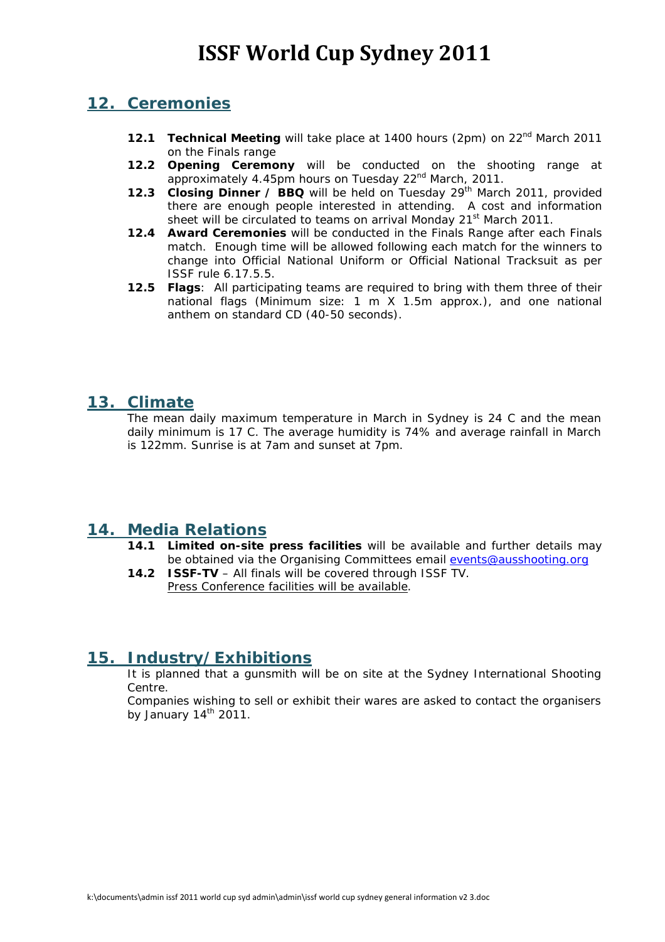### **12. Ceremonies**

- **12.1 Technical Meeting** will take place at 1400 hours (2pm) on 22<sup>nd</sup> March 2011 on the Finals range
- **12.2 Opening Ceremony** will be conducted on the shooting range at approximately 4.45pm hours on Tuesday 22<sup>nd</sup> March, 2011.
- **12.3 Closing Dinner / BBQ** will be held on Tuesday 29<sup>th</sup> March 2011, provided there are enough people interested in attending. A cost and information sheet will be circulated to teams on arrival Monday 21<sup>st</sup> March 2011.
- **12.4 Award Ceremonies** will be conducted in the Finals Range after each Finals match. Enough time will be allowed following each match for the winners to change into Official National Uniform or Official National Tracksuit as per ISSF rule 6.17.5.5.
- **12.5 Flags**: All participating teams are required to bring with them three of their national flags (Minimum size: 1 m X 1.5m approx.), and one national anthem on standard CD (40-50 seconds).

# **13. Climate**

 The mean daily maximum temperature in March in Sydney is 24 C and the mean daily minimum is 17 C. The average humidity is 74% and average rainfall in March is 122mm. Sunrise is at 7am and sunset at 7pm.

# **14. Media Relations**

- **14.1 Limited on-site press facilities** will be available and further details may be obtained via the Organising Committees email events@ausshooting.org
- **14.2 ISSF-TV** All finals will be covered through ISSF TV. *Press Conference facilities will be available*.

# **15. Industry/Exhibitions**

 It is planned that a gunsmith will be on site at the Sydney International Shooting Centre.

Companies wishing to sell or exhibit their wares are asked to contact the organisers by January  $14<sup>th</sup>$  2011.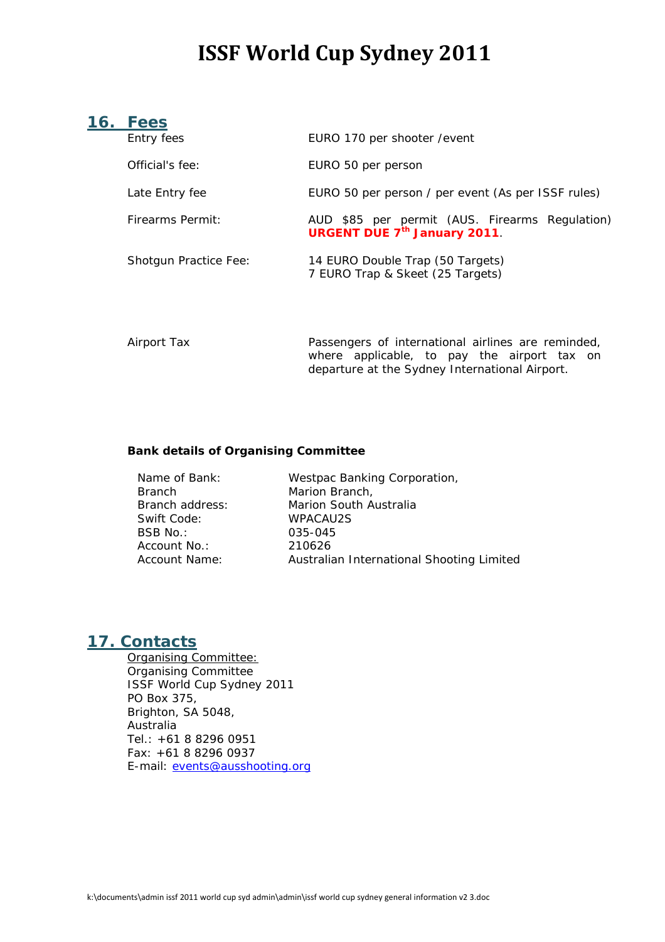### **16. Fees**

| Entry fees                   | EURO 170 per shooter / event                                                           |
|------------------------------|----------------------------------------------------------------------------------------|
| Official's fee:              | EURO 50 per person                                                                     |
| Late Entry fee               | EURO 50 per person / per event (As per ISSF rules)                                     |
| <b>Firearms Permit:</b>      | AUD \$85 per permit (AUS. Firearms Regulation)<br><b>URGENT DUE 7th January 2011</b> . |
| <b>Shotgun Practice Fee:</b> | 14 EURO Double Trap (50 Targets)<br>7 EURO Trap & Skeet (25 Targets)                   |
|                              |                                                                                        |

 *Airport Tax Passengers of international airlines are reminded, where applicable, to pay the airport tax on departure at the Sydney International Airport.* 

#### **Bank details of Organising Committee**

| Name of Bank:   | Westpac Banking Corporation,              |
|-----------------|-------------------------------------------|
| <b>Branch</b>   | Marion Branch,                            |
| Branch address: | Marion South Australia                    |
| Swift Code:     | <b>WPACAU2S</b>                           |
| BSB No.:        | 035-045                                   |
| Account No.:    | 210626                                    |
| Account Name:   | Australian International Shooting Limited |

### **17. Contacts**

 Organising Committee: Organising Committee ISSF World Cup Sydney 2011 PO Box 375, Brighton, SA 5048, Australia Tel.: +61 8 8296 0951 Fax: +61 8 8296 0937 E-mail: events@ausshooting.org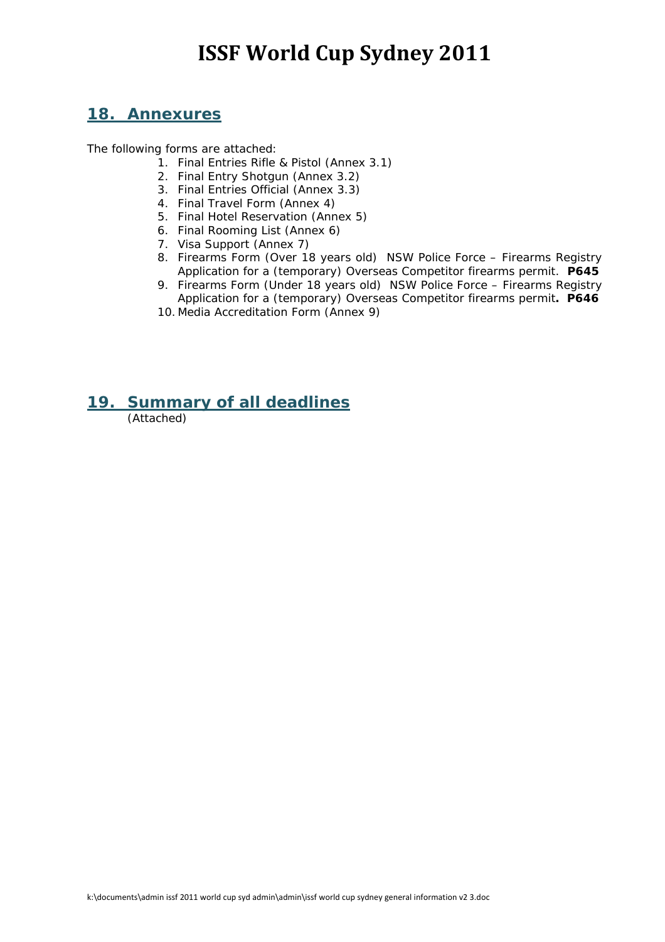## **18. Annexures**

The following forms are attached:

- 1. Final Entries Rifle & Pistol (Annex 3.1)
- 2. Final Entry Shotgun (Annex 3.2)
- 3. Final Entries Official (Annex 3.3)
- 4. Final Travel Form (Annex 4)
- 5. Final Hotel Reservation (Annex 5)
- 6. Final Rooming List (Annex 6)
- 7. Visa Support (Annex 7)
- 8. Firearms Form (Over 18 years old) NSW Police Force Firearms Registry Application for a (temporary) Overseas Competitor firearms permit. **P645**
- 9. Firearms Form (Under 18 years old) NSW Police Force Firearms Registry Application for a (temporary) Overseas Competitor firearms permit**. P646**
- 10. Media Accreditation Form (Annex 9)

### **19. Summary of all deadlines**

(Attached)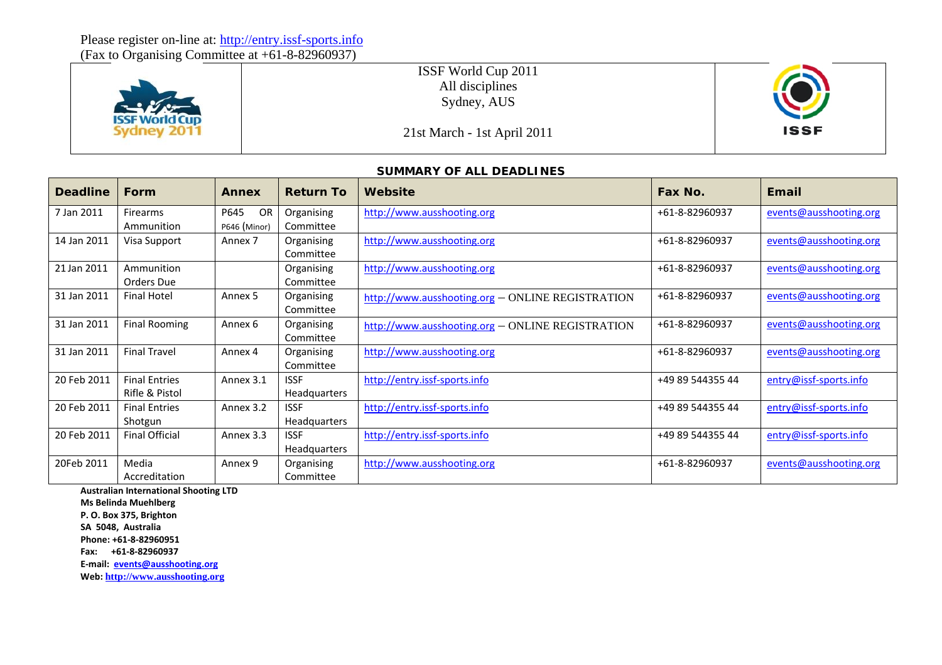(Fax to Organising Committee at +61-8-82960937)



ISSF World Cup 2011 All disciplines Sydney, AUS



### 21st March - 1st April 2011

#### **SUMMARY OF ALL DEADLINES**

| <b>Deadline</b> | <b>Form</b>                            | <b>Annex</b>            | <b>Return To</b>                     | Website                                          | Fax No.          | Email                  |
|-----------------|----------------------------------------|-------------------------|--------------------------------------|--------------------------------------------------|------------------|------------------------|
| 7 Jan 2011      | <b>Firearms</b><br>Ammunition          | OR<br>P645              | Organising                           | http://www.ausshooting.org                       | +61-8-82960937   | events@ausshooting.org |
| 14 Jan 2011     | Visa Support                           | P646 (Minor)<br>Annex 7 | Committee<br>Organising<br>Committee | http://www.ausshooting.org                       | +61-8-82960937   | events@ausshooting.org |
| 21 Jan 2011     | Ammunition<br>Orders Due               |                         | Organising<br>Committee              | http://www.ausshooting.org                       | +61-8-82960937   | events@ausshooting.org |
| 31 Jan 2011     | <b>Final Hotel</b>                     | Annex 5                 | Organising<br>Committee              | http://www.ausshooting.org - ONLINE REGISTRATION | +61-8-82960937   | events@ausshooting.org |
| 31 Jan 2011     | <b>Final Rooming</b>                   | Annex 6                 | Organising<br>Committee              | http://www.ausshooting.org - ONLINE REGISTRATION | +61-8-82960937   | events@ausshooting.org |
| 31 Jan 2011     | <b>Final Travel</b>                    | Annex 4                 | Organising<br>Committee              | http://www.ausshooting.org                       | +61-8-82960937   | events@ausshooting.org |
| 20 Feb 2011     | <b>Final Entries</b><br>Rifle & Pistol | Annex 3.1               | <b>ISSF</b><br><b>Headquarters</b>   | http://entry.issf-sports.info                    | +49 89 544355 44 | entry@issf-sports.info |
| 20 Feb 2011     | <b>Final Entries</b><br>Shotgun        | Annex 3.2               | <b>ISSF</b><br><b>Headquarters</b>   | http://entry.issf-sports.info                    | +49 89 544355 44 | entry@issf-sports.info |
| 20 Feb 2011     | <b>Final Official</b>                  | Annex 3.3               | <b>ISSF</b><br><b>Headquarters</b>   | http://entry.issf-sports.info                    | +49 89 544355 44 | entry@issf-sports.info |
| 20Feb 2011      | Media<br>Accreditation                 | Annex 9                 | Organising<br>Committee              | http://www.ausshooting.org                       | +61-8-82960937   | events@ausshooting.org |

**Australian International Shooting LTD**

**Ms Belinda Muehlberg**

**P. O. Box 375, Brighton**

**SA 5048, Australia**

**Phone: +61‐8‐82960951**

**Fax: +61‐8‐82960937**

**E‐mail: events@ausshooting.org**

**Web: http://www.ausshooting.org**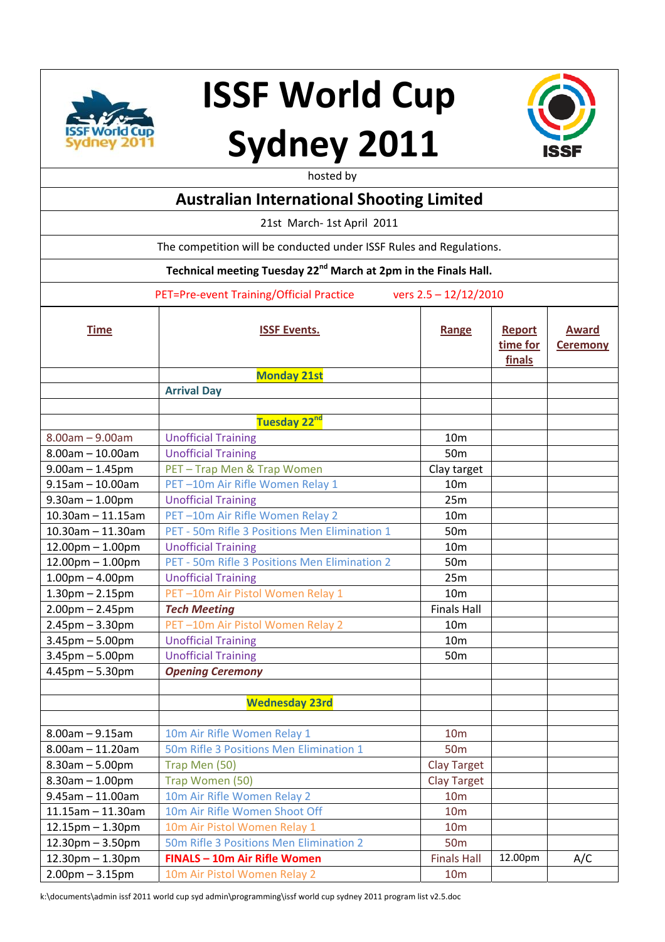



hosted by

|                                                                     | <b>HUSLEY DY</b>                                                            |                                       |                                     |                                 |  |  |
|---------------------------------------------------------------------|-----------------------------------------------------------------------------|---------------------------------------|-------------------------------------|---------------------------------|--|--|
|                                                                     | <b>Australian International Shooting Limited</b>                            |                                       |                                     |                                 |  |  |
|                                                                     | 21st March- 1st April 2011                                                  |                                       |                                     |                                 |  |  |
|                                                                     | The competition will be conducted under ISSF Rules and Regulations.         |                                       |                                     |                                 |  |  |
|                                                                     | Technical meeting Tuesday 22 <sup>nd</sup> March at 2pm in the Finals Hall. |                                       |                                     |                                 |  |  |
| PET=Pre-event Training/Official Practice<br>vers $2.5 - 12/12/2010$ |                                                                             |                                       |                                     |                                 |  |  |
| <b>Time</b>                                                         | <b>ISSF Events.</b>                                                         | Range                                 | <b>Report</b><br>time for<br>finals | <b>Award</b><br><b>Ceremony</b> |  |  |
|                                                                     | <b>Monday 21st</b>                                                          |                                       |                                     |                                 |  |  |
|                                                                     | <b>Arrival Day</b>                                                          |                                       |                                     |                                 |  |  |
|                                                                     |                                                                             |                                       |                                     |                                 |  |  |
|                                                                     | Tuesday 22 <sup>nd</sup>                                                    |                                       |                                     |                                 |  |  |
| $8.00am - 9.00am$                                                   | <b>Unofficial Training</b>                                                  | 10 <sub>m</sub>                       |                                     |                                 |  |  |
| $8.00$ am $- 10.00$ am                                              | <b>Unofficial Training</b>                                                  | 50 <sub>m</sub>                       |                                     |                                 |  |  |
| $9.00$ am $- 1.45$ pm                                               | PET - Trap Men & Trap Women                                                 | Clay target                           |                                     |                                 |  |  |
| $9.15$ am $-10.00$ am                                               | PET-10m Air Rifle Women Relay 1                                             | 10 <sub>m</sub>                       |                                     |                                 |  |  |
| $9.30$ am $- 1.00$ pm                                               | <b>Unofficial Training</b>                                                  | 25m                                   |                                     |                                 |  |  |
| $10.30$ am - 11.15am                                                | PET-10m Air Rifle Women Relay 2                                             | 10 <sub>m</sub>                       |                                     |                                 |  |  |
| $10.30$ am - 11.30am                                                | PET - 50m Rifle 3 Positions Men Elimination 1                               | 50 <sub>m</sub>                       |                                     |                                 |  |  |
| $12.00$ pm $- 1.00$ pm                                              | <b>Unofficial Training</b>                                                  | 10 <sub>m</sub>                       |                                     |                                 |  |  |
| $12.00$ pm $- 1.00$ pm                                              | PET - 50m Rifle 3 Positions Men Elimination 2                               | 50 <sub>m</sub>                       |                                     |                                 |  |  |
| $1.00pm - 4.00pm$                                                   | <b>Unofficial Training</b>                                                  | 25m                                   |                                     |                                 |  |  |
| $1.30$ pm $- 2.15$ pm                                               | PET-10m Air Pistol Women Relay 1                                            | 10 <sub>m</sub>                       |                                     |                                 |  |  |
| $2.00$ pm $- 2.45$ pm                                               | <b>Tech Meeting</b>                                                         | <b>Finals Hall</b>                    |                                     |                                 |  |  |
| $2.45$ pm $- 3.30$ pm                                               | PET-10m Air Pistol Women Relay 2                                            | 10 <sub>m</sub>                       |                                     |                                 |  |  |
| $3.45$ pm $- 5.00$ pm                                               | <b>Unofficial Training</b>                                                  | 10 <sub>m</sub>                       |                                     |                                 |  |  |
| $3.45$ pm $- 5.00$ pm                                               | <b>Unofficial Training</b>                                                  | 50 <sub>m</sub>                       |                                     |                                 |  |  |
| $4.45$ pm $- 5.30$ pm                                               | <b>Opening Ceremony</b>                                                     |                                       |                                     |                                 |  |  |
|                                                                     |                                                                             |                                       |                                     |                                 |  |  |
|                                                                     | <b>Wednesday 23rd</b>                                                       |                                       |                                     |                                 |  |  |
|                                                                     |                                                                             |                                       |                                     |                                 |  |  |
| $8.00am - 9.15am$                                                   | 10m Air Rifle Women Relay 1                                                 | 10 <sub>m</sub>                       |                                     |                                 |  |  |
| $8.00$ am $- 11.20$ am                                              | 50m Rifle 3 Positions Men Elimination 1                                     | 50 <sub>m</sub>                       |                                     |                                 |  |  |
| $8.30$ am $- 5.00$ pm                                               | Trap Men (50)                                                               | <b>Clay Target</b>                    |                                     |                                 |  |  |
| $8.30$ am $- 1.00$ pm<br>$9.45$ am $-11.00$ am                      | Trap Women (50)<br>10m Air Rifle Women Relay 2                              | <b>Clay Target</b><br>10 <sub>m</sub> |                                     |                                 |  |  |
| $11.15$ am - $11.30$ am                                             | 10m Air Rifle Women Shoot Off                                               | 10 <sub>m</sub>                       |                                     |                                 |  |  |
| $12.15$ pm $- 1.30$ pm                                              | 10m Air Pistol Women Relay 1                                                | 10 <sub>m</sub>                       |                                     |                                 |  |  |
| $12.30$ pm $- 3.50$ pm                                              | 50m Rifle 3 Positions Men Elimination 2                                     | 50 <sub>m</sub>                       |                                     |                                 |  |  |
| $12.30$ pm $- 1.30$ pm                                              | <b>FINALS - 10m Air Rifle Women</b>                                         | <b>Finals Hall</b>                    | 12.00pm                             | A/C                             |  |  |
| $2.00$ pm $- 3.15$ pm                                               | 10m Air Pistol Women Relay 2                                                | 10 <sub>m</sub>                       |                                     |                                 |  |  |
|                                                                     |                                                                             |                                       |                                     |                                 |  |  |

k:\documents\admin issf 2011 world cup syd admin\programming\issf world cup sydney 2011 program list v2.5.doc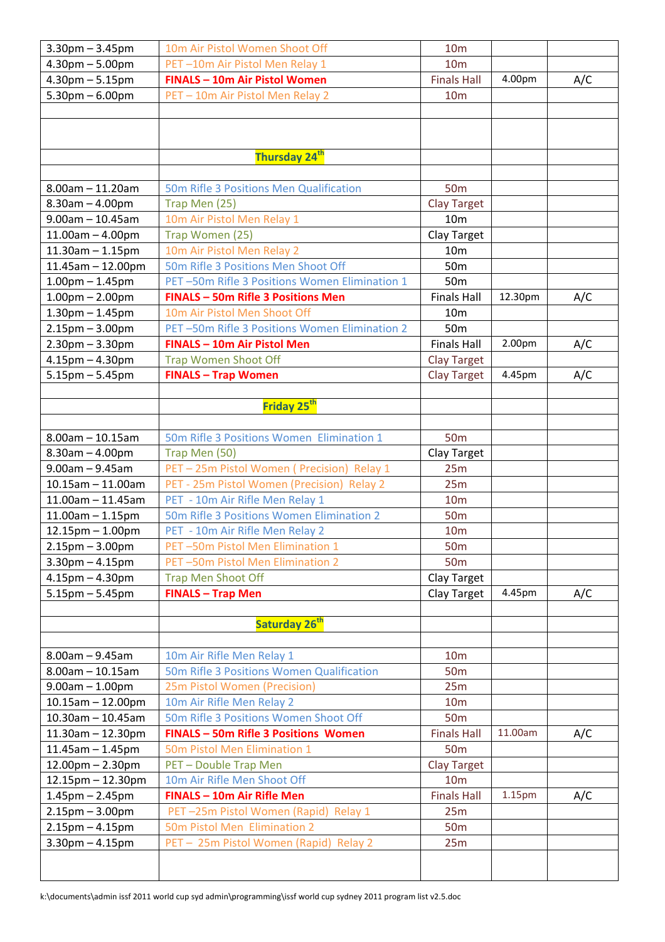| $3.30$ pm $- 3.45$ pm   | 10m Air Pistol Women Shoot Off                | 10 <sub>m</sub>    |                    |     |
|-------------------------|-----------------------------------------------|--------------------|--------------------|-----|
| $4.30pm - 5.00pm$       | PET-10m Air Pistol Men Relay 1                | 10 <sub>m</sub>    |                    |     |
| $4.30$ pm $- 5.15$ pm   | <b>FINALS - 10m Air Pistol Women</b>          | <b>Finals Hall</b> | 4.00pm             | A/C |
| $5.30$ pm $-6.00$ pm    | PET - 10m Air Pistol Men Relay 2              | 10 <sub>m</sub>    |                    |     |
|                         |                                               |                    |                    |     |
|                         |                                               |                    |                    |     |
|                         |                                               |                    |                    |     |
|                         | Thursday 24 <sup>th</sup>                     |                    |                    |     |
|                         |                                               |                    |                    |     |
| $8.00$ am $- 11.20$ am  | 50m Rifle 3 Positions Men Qualification       | 50 <sub>m</sub>    |                    |     |
| $8.30$ am $- 4.00$ pm   | Trap Men (25)                                 | <b>Clay Target</b> |                    |     |
| $9.00$ am $- 10.45$ am  | 10m Air Pistol Men Relay 1                    | 10 <sub>m</sub>    |                    |     |
| $11.00am - 4.00pm$      | Trap Women (25)                               | Clay Target        |                    |     |
| $11.30$ am $- 1.15$ pm  | 10m Air Pistol Men Relay 2                    | 10 <sub>m</sub>    |                    |     |
| $11.45$ am - $12.00$ pm | 50m Rifle 3 Positions Men Shoot Off           | 50 <sub>m</sub>    |                    |     |
| $1.00$ pm $- 1.45$ pm   | PET-50m Rifle 3 Positions Women Elimination 1 | 50 <sub>m</sub>    |                    |     |
| $1.00pm - 2.00pm$       | <b>FINALS - 50m Rifle 3 Positions Men</b>     | <b>Finals Hall</b> | 12.30pm            | A/C |
| $1.30pm - 1.45pm$       | 10m Air Pistol Men Shoot Off                  | 10 <sub>m</sub>    |                    |     |
| $2.15$ pm $-3.00$ pm    | PET-50m Rifle 3 Positions Women Elimination 2 | 50 <sub>m</sub>    |                    |     |
| $2.30$ pm $- 3.30$ pm   | FINALS - 10m Air Pistol Men                   | <b>Finals Hall</b> | 2.00pm             | A/C |
| $4.15$ pm $- 4.30$ pm   | <b>Trap Women Shoot Off</b>                   | <b>Clay Target</b> |                    |     |
| $5.15$ pm $- 5.45$ pm   | <b>FINALS - Trap Women</b>                    | <b>Clay Target</b> | 4.45pm             | A/C |
|                         |                                               |                    |                    |     |
|                         | Friday 25 <sup>th</sup>                       |                    |                    |     |
|                         |                                               |                    |                    |     |
| $8.00$ am $- 10.15$ am  | 50m Rifle 3 Positions Women Elimination 1     | 50 <sub>m</sub>    |                    |     |
| $8.30$ am $- 4.00$ pm   | Trap Men (50)                                 | Clay Target        |                    |     |
| $9.00am - 9.45am$       | PET - 25m Pistol Women ( Precision) Relay 1   | 25m                |                    |     |
| $10.15$ am $- 11.00$ am | PET - 25m Pistol Women (Precision) Relay 2    | 25m                |                    |     |
| $11.00$ am - $11.45$ am | PET - 10m Air Rifle Men Relay 1               | 10 <sub>m</sub>    |                    |     |
| $11.00$ am $- 1.15$ pm  | 50m Rifle 3 Positions Women Elimination 2     | <b>50m</b>         |                    |     |
| $12.15$ pm $- 1.00$ pm  | PET - 10m Air Rifle Men Relay 2               | 10 <sub>m</sub>    |                    |     |
| $2.15$ pm $- 3.00$ pm   | PET-50m Pistol Men Elimination 1              | 50 <sub>m</sub>    |                    |     |
| $3.30$ pm $- 4.15$ pm   | PET-50m Pistol Men Elimination 2              | 50 <sub>m</sub>    |                    |     |
| $4.15$ pm $- 4.30$ pm   | <b>Trap Men Shoot Off</b>                     | Clay Target        |                    |     |
| $5.15$ pm $- 5.45$ pm   | <b>FINALS - Trap Men</b>                      | Clay Target        | 4.45pm             | A/C |
|                         |                                               |                    |                    |     |
|                         | Saturday 26 <sup>th</sup>                     |                    |                    |     |
|                         |                                               |                    |                    |     |
| $8.00$ am $- 9.45$ am   | 10m Air Rifle Men Relay 1                     | 10 <sub>m</sub>    |                    |     |
| $8.00$ am $- 10.15$ am  | 50m Rifle 3 Positions Women Qualification     | 50 <sub>m</sub>    |                    |     |
| $9.00am - 1.00pm$       | 25m Pistol Women (Precision)                  | 25m                |                    |     |
| $10.15$ am $- 12.00$ pm | 10m Air Rifle Men Relay 2                     | 10 <sub>m</sub>    |                    |     |
| $10.30$ am - 10.45am    | 50m Rifle 3 Positions Women Shoot Off         | 50 <sub>m</sub>    |                    |     |
| $11.30$ am - $12.30$ pm | <b>FINALS - 50m Rifle 3 Positions Women</b>   | <b>Finals Hall</b> | 11.00am            | A/C |
| $11.45$ am - 1.45pm     | 50m Pistol Men Elimination 1                  | 50 <sub>m</sub>    |                    |     |
| $12.00$ pm $- 2.30$ pm  | PET - Double Trap Men                         | <b>Clay Target</b> |                    |     |
| $12.15$ pm $- 12.30$ pm | 10m Air Rifle Men Shoot Off                   | 10 <sub>m</sub>    |                    |     |
| $1.45$ pm $- 2.45$ pm   | <b>FINALS - 10m Air Rifle Men</b>             | <b>Finals Hall</b> | 1.15 <sub>pm</sub> | A/C |
| $2.15$ pm $- 3.00$ pm   | PET-25m Pistol Women (Rapid) Relay 1          | 25m                |                    |     |
| $2.15$ pm $- 4.15$ pm   |                                               | 50 <sub>m</sub>    |                    |     |
|                         | 50m Pistol Men Elimination 2                  |                    |                    |     |
| $3.30$ pm $- 4.15$ pm   | PET - 25m Pistol Women (Rapid) Relay 2        | 25m                |                    |     |
|                         |                                               |                    |                    |     |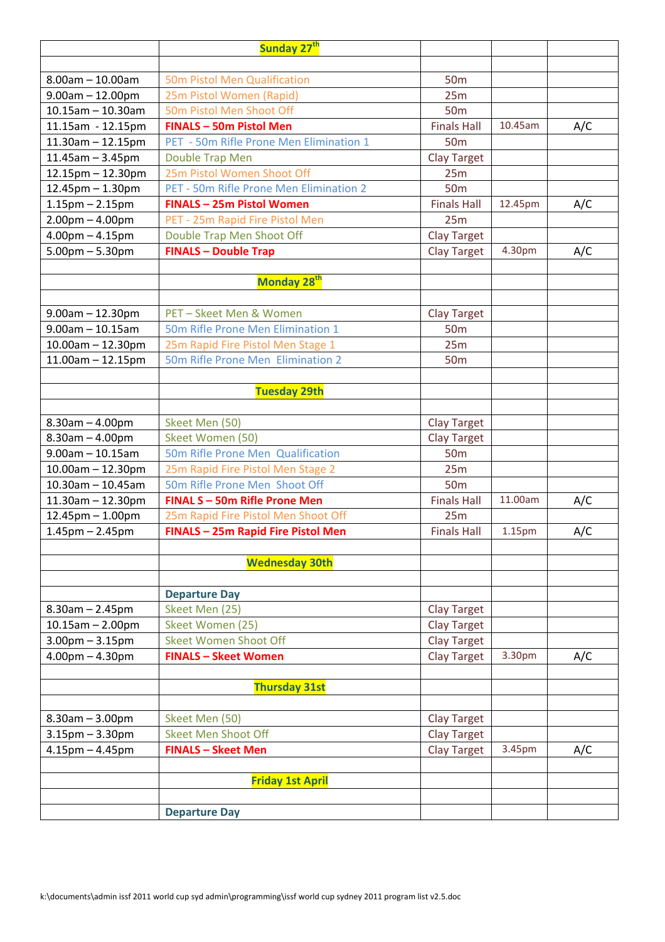|                         | Sunday 27 <sup>th</sup>                   |                    |         |     |
|-------------------------|-------------------------------------------|--------------------|---------|-----|
|                         |                                           |                    |         |     |
| $8.00$ am $- 10.00$ am  | 50m Pistol Men Qualification              | <b>50m</b>         |         |     |
| $9.00$ am $- 12.00$ pm  | 25m Pistol Women (Rapid)                  | 25m                |         |     |
| $10.15$ am - 10.30am    | 50m Pistol Men Shoot Off                  | 50 <sub>m</sub>    |         |     |
| 11.15am - 12.15pm       | <b>FINALS - 50m Pistol Men</b>            | <b>Finals Hall</b> | 10.45am | A/C |
| $11.30$ am - $12.15$ pm | PET - 50m Rifle Prone Men Elimination 1   | 50 <sub>m</sub>    |         |     |
| $11.45$ am - 3.45pm     | Double Trap Men                           | <b>Clay Target</b> |         |     |
| 12.15pm - 12.30pm       | 25m Pistol Women Shoot Off                | 25m                |         |     |
| 12.45pm - 1.30pm        | PET - 50m Rifle Prone Men Elimination 2   | 50 <sub>m</sub>    |         |     |
| $1.15$ pm $- 2.15$ pm   | FINALS - 25m Pistol Women                 | <b>Finals Hall</b> | 12.45pm | A/C |
| $2.00pm - 4.00pm$       | PET - 25m Rapid Fire Pistol Men           | 25m                |         |     |
| $4.00$ pm $- 4.15$ pm   | Double Trap Men Shoot Off                 | <b>Clay Target</b> |         |     |
| $5.00$ pm $- 5.30$ pm   | <b>FINALS - Double Trap</b>               | <b>Clay Target</b> | 4.30pm  | A/C |
|                         |                                           |                    |         |     |
|                         | Monday 28 <sup>th</sup>                   |                    |         |     |
| $9.00$ am $- 12.30$ pm  | PET-Skeet Men & Women                     | <b>Clay Target</b> |         |     |
| $9.00$ am $- 10.15$ am  | 50m Rifle Prone Men Elimination 1         | 50 <sub>m</sub>    |         |     |
| $10.00$ am $- 12.30$ pm | 25m Rapid Fire Pistol Men Stage 1         | 25m                |         |     |
| $11.00$ am $- 12.15$ pm | 50m Rifle Prone Men Elimination 2         | 50 <sub>m</sub>    |         |     |
|                         |                                           |                    |         |     |
|                         | <b>Tuesday 29th</b>                       |                    |         |     |
|                         |                                           |                    |         |     |
| $8.30$ am $- 4.00$ pm   | Skeet Men (50)                            | <b>Clay Target</b> |         |     |
| $8.30$ am $- 4.00$ pm   | Skeet Women (50)                          | <b>Clay Target</b> |         |     |
| $9.00$ am $- 10.15$ am  | 50m Rifle Prone Men Qualification         | 50 <sub>m</sub>    |         |     |
| $10.00$ am $- 12.30$ pm | 25m Rapid Fire Pistol Men Stage 2         | 25m                |         |     |
| $10.30$ am - 10.45am    | 50m Rifle Prone Men Shoot Off             | <b>50m</b>         |         |     |
| $11.30$ am - $12.30$ pm | FINAL S - 50m Rifle Prone Men             | <b>Finals Hall</b> | 11.00am | A/C |
| 12.45pm - 1.00pm        | 25m Rapid Fire Pistol Men Shoot Off       | 25m                |         |     |
| $1.45$ pm $- 2.45$ pm   | <b>FINALS - 25m Rapid Fire Pistol Men</b> | <b>Finals Hall</b> | 1.15pm  | A/C |
|                         |                                           |                    |         |     |
|                         | <b>Wednesday 30th</b>                     |                    |         |     |
|                         |                                           |                    |         |     |
|                         | <b>Departure Day</b>                      |                    |         |     |
| $8.30$ am $- 2.45$ pm   | Skeet Men (25)                            | Clay Target        |         |     |
| $10.15$ am $- 2.00$ pm  | Skeet Women (25)                          | Clay Target        |         |     |
| $3.00$ pm $-3.15$ pm    | <b>Skeet Women Shoot Off</b>              | <b>Clay Target</b> |         |     |
| $4.00pm - 4.30pm$       | <b>FINALS - Skeet Women</b>               | Clay Target        | 3.30pm  | A/C |
|                         | <b>Thursday 31st</b>                      |                    |         |     |
|                         |                                           |                    |         |     |
| $8.30$ am $- 3.00$ pm   | Skeet Men (50)                            | Clay Target        |         |     |
| $3.15$ pm $- 3.30$ pm   | <b>Skeet Men Shoot Off</b>                | <b>Clay Target</b> |         |     |
| $4.15$ pm $- 4.45$ pm   | <b>FINALS - Skeet Men</b>                 | Clay Target        | 3.45pm  | A/C |
|                         |                                           |                    |         |     |
|                         | <b>Friday 1st April</b>                   |                    |         |     |
|                         |                                           |                    |         |     |
|                         | <b>Departure Day</b>                      |                    |         |     |
|                         |                                           |                    |         |     |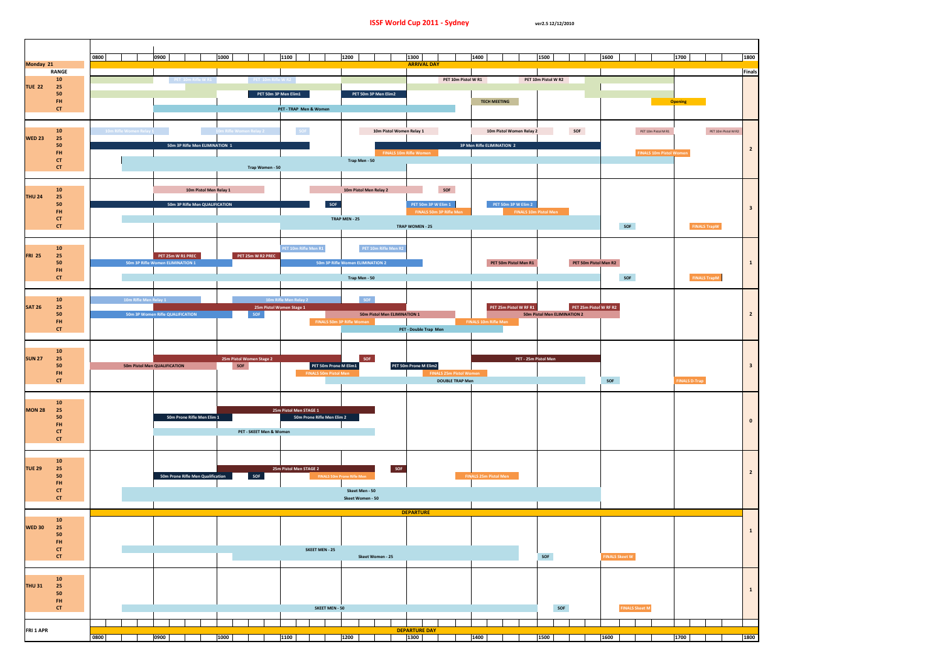

| Τ                  | 1800<br>Finals          |
|--------------------|-------------------------|
|                    |                         |
| ET 10m Pistol M R2 | $\mathbf{z}$            |
| pW                 | 3                       |
| pM                 | $\mathbf{1}$            |
|                    | $\overline{\mathbf{c}}$ |
|                    | 3                       |
|                    |                         |
|                    |                         |
|                    | 1                       |
|                    | 1                       |
|                    |                         |
|                    | 1800                    |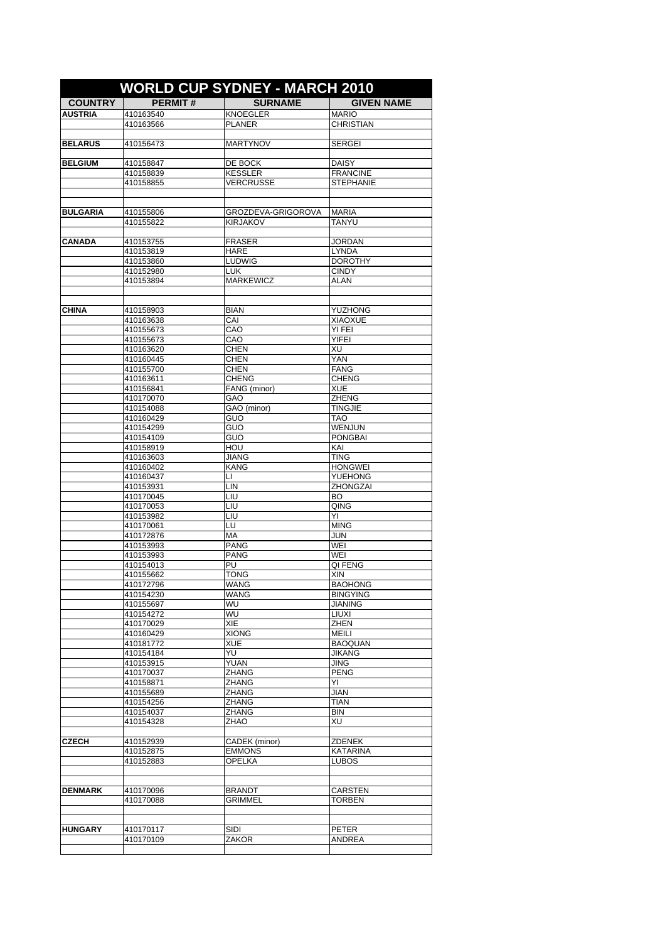|                 |                        | <b>WORLD CUP SYDNEY - MARCH 2010</b>  |                                 |
|-----------------|------------------------|---------------------------------------|---------------------------------|
| <b>COUNTRY</b>  | <b>PERMIT#</b>         | <b>SURNAME</b>                        | <b>GIVEN NAME</b>               |
| <b>AUSTRIA</b>  | 410163540              | <b>KNOEGLER</b>                       | <b>MARIO</b>                    |
|                 | 410163566              | <b>PLANER</b>                         | <b>CHRISTIAN</b>                |
|                 |                        |                                       |                                 |
| <b>BELARUS</b>  | 410156473              | <b>MARTYNOV</b>                       | <b>SERGEI</b>                   |
| <b>BELGIUM</b>  | 410158847              | DE BOCK                               | DAISY                           |
|                 | 410158839              | <b>KESSLER</b>                        | <b>FRANCINE</b>                 |
|                 | 410158855              | <b>VERCRUSSE</b>                      | <b>STEPHANIE</b>                |
|                 |                        |                                       |                                 |
|                 |                        |                                       |                                 |
| <b>BULGARIA</b> | 410155806<br>410155822 | GROZDEVA-GRIGOROVA<br><b>KIRJAKOV</b> | <b>MARIA</b><br><b>TANYU</b>    |
|                 |                        |                                       |                                 |
| <b>CANADA</b>   | 410153755              | <b>FRASER</b>                         | <b>JORDAN</b>                   |
|                 | 410153819              | HARE                                  | <b>LYNDA</b>                    |
|                 | 410153860              | <b>LUDWIG</b>                         | <b>DOROTHY</b>                  |
|                 | 410152980              | <b>LUK</b>                            | <b>CINDY</b>                    |
|                 | 410153894              | <b>MARKEWICZ</b>                      | ALAN                            |
|                 |                        |                                       |                                 |
| <b>CHINA</b>    | 410158903              | <b>BIAN</b>                           | YUZHONG                         |
|                 | 410163638              | CAI                                   | <b>XIAOXUE</b>                  |
|                 | 410155673              | CAO                                   | YI FEI                          |
|                 | 410155673              | CAO                                   | YIFEI                           |
|                 | 410163620              | <b>CHEN</b>                           | XU                              |
|                 | 410160445<br>410155700 | <b>CHEN</b><br><b>CHEN</b>            | <b>YAN</b><br><b>FANG</b>       |
|                 | 410163611              | <b>CHENG</b>                          | <b>CHENG</b>                    |
|                 | 410156841              | FANG (minor)                          | <b>XUE</b>                      |
|                 | 410170070              | GAO                                   | <b>ZHENG</b>                    |
|                 | 410154088              | GAO (minor)                           | <b>TINGJIE</b>                  |
|                 | 410160429              | GUO                                   | TAO                             |
|                 | 410154299<br>410154109 | GUO<br>GUO                            | WENJUN<br><b>PONGBAI</b>        |
|                 | 410158919              | HOU                                   | KAI                             |
|                 | 410163603              | JIANG                                 | <b>TING</b>                     |
|                 | 410160402              | <b>KANG</b>                           | <b>HONGWEI</b>                  |
|                 | 410160437              | LI.                                   | <b>YUEHONG</b>                  |
|                 | 410153931              | LIN                                   | ZHONGZAI                        |
|                 | 410170045<br>410170053 | LIU<br>LIU                            | BO<br>QING                      |
|                 | 410153982              | LIU                                   | ΥI                              |
|                 | 410170061              | LU                                    | <b>MING</b>                     |
|                 | 410172876              | MA                                    | JUN                             |
|                 | 410153993              | <b>PANG</b>                           | WEI                             |
|                 | 410153993              | <b>PANG</b>                           | WEI                             |
|                 | 410154013              | PU<br>TONG                            | QI FENG<br>XIN                  |
|                 | 410155662<br>410172796 | <b>WANG</b>                           | <b>BAOHONG</b>                  |
|                 | 410154230              | WANG                                  | <b>BINGYING</b>                 |
|                 | 410155697              | WU                                    | <b>JIANING</b>                  |
|                 | 410154272              | WU                                    | LIUXI                           |
|                 | 410170029              | XIE                                   | ZHEN                            |
|                 | 410160429              | <b>XIONG</b>                          | <b>MEILI</b>                    |
|                 | 410181772<br>410154184 | <b>XUE</b><br>YU                      | <b>BAOQUAN</b><br><b>JIKANG</b> |
|                 | 410153915              | YUAN                                  | <b>JING</b>                     |
|                 | 410170037              | <b>ZHANG</b>                          | <b>PENG</b>                     |
|                 | 410158871              | ZHANG                                 | YI                              |
|                 | 410155689              | <b>ZHANG</b>                          | JIAN                            |
|                 | 410154256              | ZHANG                                 | TIAN                            |
|                 | 410154037              | <b>ZHANG</b><br>ZHAO                  | BIN<br>XU                       |
|                 | 410154328              |                                       |                                 |
| <b>CZECH</b>    | 410152939              | CADEK (minor)                         | <b>ZDENEK</b>                   |
|                 | 410152875              | <b>EMMONS</b>                         | <b>KATARINA</b>                 |
|                 | 410152883              | <b>OPELKA</b>                         | <b>LUBOS</b>                    |
|                 |                        |                                       |                                 |
| <b>DENMARK</b>  |                        |                                       |                                 |
|                 | 410170096<br>410170088 | <b>BRANDT</b><br><b>GRIMMEL</b>       | CARSTEN<br>TORBEN               |
|                 |                        |                                       |                                 |
|                 |                        |                                       |                                 |
| <b>HUNGARY</b>  | 410170117              | SIDI                                  | PETER                           |
|                 | 410170109              | ZAKOR                                 | ANDREA                          |
|                 |                        |                                       |                                 |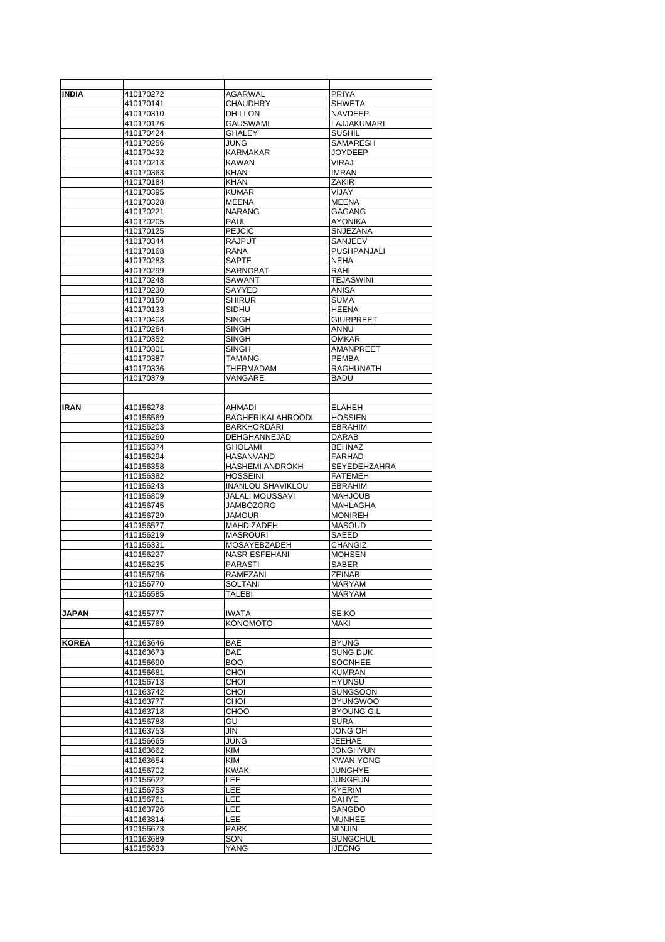| INDIA        | 410170272              | AGARWAL                  | <b>PRIYA</b>                     |
|--------------|------------------------|--------------------------|----------------------------------|
|              | 410170141              | <b>CHAUDHRY</b>          | <b>SHWETA</b>                    |
|              | 410170310              | DHILLON                  | NAVDEEP                          |
|              | 410170176              | GAUSWAMI                 | LAJJAKUMARI                      |
|              | 410170424              | GHALEY                   | <b>SUSHIL</b>                    |
|              | 410170256              | <b>JUNG</b>              | SAMARESH                         |
|              | 410170432              | KARMAKAR                 | <b>JOYDEEP</b>                   |
|              | 410170213              | <b>KAWAN</b>             | <b>VIRAJ</b>                     |
|              | 410170363              | <b>KHAN</b>              | <b>IMRAN</b>                     |
|              | 410170184              | KHAN                     | ZAKIR                            |
|              | 410170395              | <b>KUMAR</b>             | VIJAY                            |
|              | 410170328              | MEENA                    | <b>MEENA</b>                     |
|              | 410170221              |                          | <b>GAGANG</b>                    |
|              |                        | <b>NARANG</b>            |                                  |
|              | 410170205              | PAUL                     | <b>AYONIKA</b>                   |
|              | 410170125              | <b>PEJCIC</b>            | SNJEZANA                         |
|              | 410170344              | RAJPUT                   | SANJEEV                          |
|              | 410170168              | RANA                     | PUSHPANJALI                      |
|              | 410170283              | <b>SAPTE</b>             | NEHA                             |
|              | 410170299              | SARNOBAT                 | RAHI                             |
|              | 410170248              | SAWANT                   | <b>TEJASWINI</b>                 |
|              | 410170230              | SAYYED                   | <b>ANISA</b>                     |
|              | 410170150              | SHIRUR                   | <b>SUMA</b>                      |
|              | 410170133              | SIDHU                    | <b>HEENA</b>                     |
|              | 410170408              | <b>SINGH</b>             | <b>GIURPREET</b>                 |
|              | 410170264              | SINGH                    | ANNU                             |
|              | 410170352              | SINGH                    | <b>OMKAR</b>                     |
|              | 410170301              | SINGH                    | AMANPREET                        |
|              | 410170387              | <b>TAMANG</b>            | <b>PEMBA</b>                     |
|              | 410170336              | THERMADAM                | <b>RAGHUNATH</b>                 |
|              | 410170379              | VANGARE                  | <b>BADU</b>                      |
|              |                        |                          |                                  |
|              |                        |                          |                                  |
| <b>IRAN</b>  | 410156278              | <b>AHMADI</b>            | <b>ELAHEH</b>                    |
|              | 410156569              | <b>BAGHERIKALAHROODI</b> | <b>HOSSIEN</b>                   |
|              | 410156203              | <b>BARKHORDARI</b>       | <b>EBRAHIM</b>                   |
|              |                        | DEHGHANNEJAD             |                                  |
|              | 410156260              |                          | DARAB<br><b>BEHNAZ</b>           |
|              | 410156374              | GHOLAMI                  |                                  |
|              | 410156294              | HASANVAND                | <b>FARHAD</b>                    |
|              | 410156358              | <b>HASHEMI ANDROKH</b>   | SEYEDEHZAHRA                     |
|              | 410156382              | HOSSEINI                 | <b>FATEMEH</b>                   |
|              | 410156243              | <b>INANLOU SHAVIKLOU</b> | <b>EBRAHIM</b>                   |
|              | 410156809              | JALALI MOUSSAVI          | <b>MAHJOUB</b>                   |
|              | 410156745              | <b>JAMBOZORG</b>         | <b>MAHLAGHA</b>                  |
|              | 410156729              | JAMOUR                   | <b>MONIREH</b>                   |
|              | 410156577              | <b>MAHDIZADEH</b>        | <b>MASOUD</b>                    |
|              | 410156219              | <b>MASROURI</b>          | SAEED                            |
|              |                        |                          |                                  |
|              | 410156331              | <b>MOSAYEBZADEH</b>      | CHANGIZ                          |
|              | 410156227              | <b>NASR ESFEHANI</b>     | <b>MOHSEN</b>                    |
|              | 410156235              | <b>PARASTI</b>           | <b>SABER</b>                     |
|              | 410156796              | RAMEZANI                 | <b>ZEINAB</b>                    |
|              | 410156770              | SOLTANI                  | MARYAM                           |
|              | 410156585              | TALEBI                   | MARYAM                           |
|              |                        |                          |                                  |
| <b>JAPAN</b> | 410155777              | <b>IWATA</b>             | <b>SEIKO</b>                     |
|              | 410155769              | <b>KONOMOTO</b>          | MAKI                             |
|              |                        |                          |                                  |
|              |                        |                          |                                  |
| <b>KOREA</b> | 410163646              | <b>BAE</b>               | <b>BYUNG</b>                     |
|              | 410163673              | BAE                      | <b>SUNG DUK</b>                  |
|              | 410156690              | <b>BOO</b>               | SOONHEE                          |
|              | 410156681              | CHOI                     | <b>KUMRAN</b>                    |
|              | 410156713              | CHOI                     | <b>HYUNSU</b>                    |
|              | 410163742              | CHOI                     | <b>SUNGSOON</b>                  |
|              | 410163777              | CHOI                     | <b>BYUNGWOO</b>                  |
|              | 410163718              | CHOO                     | <b>BYOUNG GIL</b>                |
|              | 410156788              | GU                       | <b>SURA</b>                      |
|              | 410163753              | JIN                      | JONG OH                          |
|              | 410156665              | JUNG                     | JEEHAE                           |
|              | 410163662              | KIM                      | JONGHYUN                         |
|              | 410163654              | KIM                      | <b>KWAN YONG</b>                 |
|              | 410156702              | <b>KWAK</b>              | <b>JUNGHYE</b>                   |
|              | 410156622              | LEE                      | <b>JUNGEUN</b>                   |
|              | 410156753              | LEE                      | <b>KYERIM</b>                    |
|              | 410156761              | LEE                      | <b>DAHYE</b>                     |
|              | 410163726              | LEE                      | SANGDO                           |
|              | 410163814              | LEE                      | <b>MUNHEE</b>                    |
|              | 410156673              | <b>PARK</b>              | <b>MINJIN</b>                    |
|              | 410163689<br>410156633 | SON<br>YANG              | <b>SUNGCHUL</b><br><b>IJEONG</b> |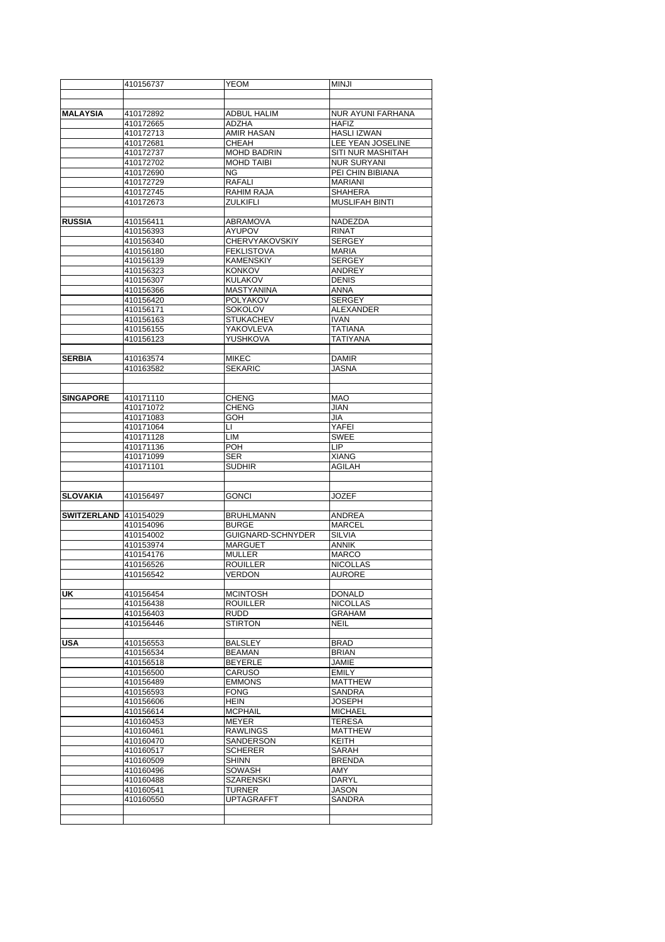|                              | 410156737              | <b>YEOM</b>                           | <b>MINJI</b>                            |
|------------------------------|------------------------|---------------------------------------|-----------------------------------------|
|                              |                        |                                       |                                         |
|                              |                        |                                       |                                         |
| <b>MALAYSIA</b>              | 410172892              | <b>ADBUL HALIM</b>                    | <b>NUR AYUNI FARHANA</b>                |
|                              | 410172665              | ADZHA                                 | <b>HAFIZ</b>                            |
|                              | 410172713<br>410172681 | AMIR HASAN<br>CHEAH                   | <b>HASLI IZWAN</b><br>LEE YEAN JOSELINE |
|                              | 410172737              | <b>MOHD BADRIN</b>                    | SITI NUR MASHITAH                       |
|                              | 410172702              | <b>MOHD TAIBI</b>                     | <b>NUR SURYANI</b>                      |
|                              | 410172690              | ΝG                                    | PEI CHIN BIBIANA                        |
|                              | 410172729              | RAFALI                                | MARIANI                                 |
|                              | 410172745              | RAHIM RAJA                            | <b>SHAHERA</b>                          |
|                              | 410172673              | ZULKIFLI                              | <b>MUSLIFAH BINTI</b>                   |
|                              |                        |                                       |                                         |
| <b>RUSSIA</b>                | 410156411              | <b>ABRAMOVA</b>                       | <b>NADEZDA</b>                          |
|                              | 410156393              | AYUPOV                                | <b>RINAT</b>                            |
|                              | 410156340              | <b>CHERVYAKOVSKIY</b>                 | <b>SERGEY</b>                           |
|                              | 410156180<br>410156139 | <b>FEKLISTOVA</b><br><b>KAMENSKIY</b> | <b>MARIA</b><br><b>SERGEY</b>           |
|                              | 410156323              | <b>KONKOV</b>                         | ANDREY                                  |
|                              | 410156307              | <b>KULAKOV</b>                        | <b>DENIS</b>                            |
|                              | 410156366              | <b>MASTYANINA</b>                     | ANNA                                    |
|                              | 410156420              | POLYAKOV                              | <b>SERGEY</b>                           |
|                              | 410156171              | SOKOLOV                               | <b>ALEXANDER</b>                        |
|                              | 410156163              | <b>STUKACHEV</b>                      | <b>IVAN</b>                             |
|                              | 410156155              | <b>YAKOVLEVA</b>                      | <b>TATIANA</b>                          |
|                              | 410156123              | YUSHKOVA                              | <b>TATIYANA</b>                         |
|                              |                        |                                       |                                         |
| <b>SERBIA</b>                | 410163574              | <b>MIKEC</b>                          | <b>DAMIR</b>                            |
|                              | 410163582              | <b>SEKARIC</b>                        | <b>JASNA</b>                            |
|                              |                        |                                       |                                         |
| <b>SINGAPORE</b>             | 410171110              | CHENG                                 | <b>MAO</b>                              |
|                              | 410171072              | <b>CHENG</b>                          | JIAN                                    |
|                              | 410171083              | <b>GOH</b>                            | JIA                                     |
|                              | 410171064              | LI.                                   | YAFEI                                   |
|                              | 410171128              | LIM                                   | <b>SWEE</b>                             |
|                              | 410171136              | POH                                   | LIP                                     |
|                              | 410171099              | SER                                   | <b>XIANG</b>                            |
|                              | 410171101              | <b>SUDHIR</b>                         | <b>AGILAH</b>                           |
|                              |                        |                                       |                                         |
|                              |                        |                                       | <b>JOZEF</b>                            |
| <b>SLOVAKIA</b>              | 410156497              | <b>GONCI</b>                          |                                         |
| <b>SWITZERLAND</b> 410154029 |                        | BRUHLMANN                             | ANDREA                                  |
|                              | 410154096              | <b>BURGE</b>                          | <b>MARCEL</b>                           |
|                              | 410154002              | GUIGNARD-SCHNYDER                     | <b>SILVIA</b>                           |
|                              | 410153974              | <b>MARGUET</b>                        | <b>ANNIK</b>                            |
|                              | 410154176              | MULLER                                | <b>MARCO</b>                            |
|                              | 410156526              | ROUILLER                              | <b>NICOLLAS</b>                         |
|                              | 410156542              | VERDON                                | <b>AURORE</b>                           |
|                              |                        |                                       |                                         |
| UK                           | 410156454              | <b>MCINTOSH</b>                       | <b>DONALD</b>                           |
|                              | 410156438<br>410156403 | <b>ROUILLER</b><br>RUDD               | <b>NICOLLAS</b><br><b>GRAHAM</b>        |
|                              | 410156446              | <b>STIRTON</b>                        | <b>NEIL</b>                             |
|                              |                        |                                       |                                         |
| <b>USA</b>                   | 410156553              | BALSLEY                               | <b>BRAD</b>                             |
|                              | 410156534              | <b>BEAMAN</b>                         | <b>BRIAN</b>                            |
|                              | 410156518              | <b>BEYERLE</b>                        | JAMIE                                   |
|                              | 410156500              | CARUSO                                | <b>EMILY</b>                            |
|                              | 410156489              | <b>EMMONS</b>                         | <b>MATTHEW</b>                          |
|                              | 410156593              | <b>FONG</b>                           | SANDRA                                  |
|                              | 410156606              | <b>HEIN</b>                           | <b>JOSEPH</b>                           |
|                              | 410156614              | <b>MCPHAIL</b>                        | <b>MICHAEL</b>                          |
|                              | 410160453<br>410160461 | MEYER<br><b>RAWLINGS</b>              | <b>TERESA</b><br><b>MATTHEW</b>         |
|                              | 410160470              | SANDERSON                             | KEITH                                   |
|                              | 410160517              | <b>SCHERER</b>                        | SARAH                                   |
|                              | 410160509              | <b>SHINN</b>                          | <b>BRENDA</b>                           |
|                              | 410160496              | SOWASH                                | AMY                                     |
|                              | 410160488              | SZARENSKI                             | <b>DARYL</b>                            |
|                              | 410160541              | TURNER                                | <b>JASON</b>                            |
|                              | 410160550              | <b>UPTAGRAFFT</b>                     | SANDRA                                  |
|                              |                        |                                       |                                         |
|                              |                        |                                       |                                         |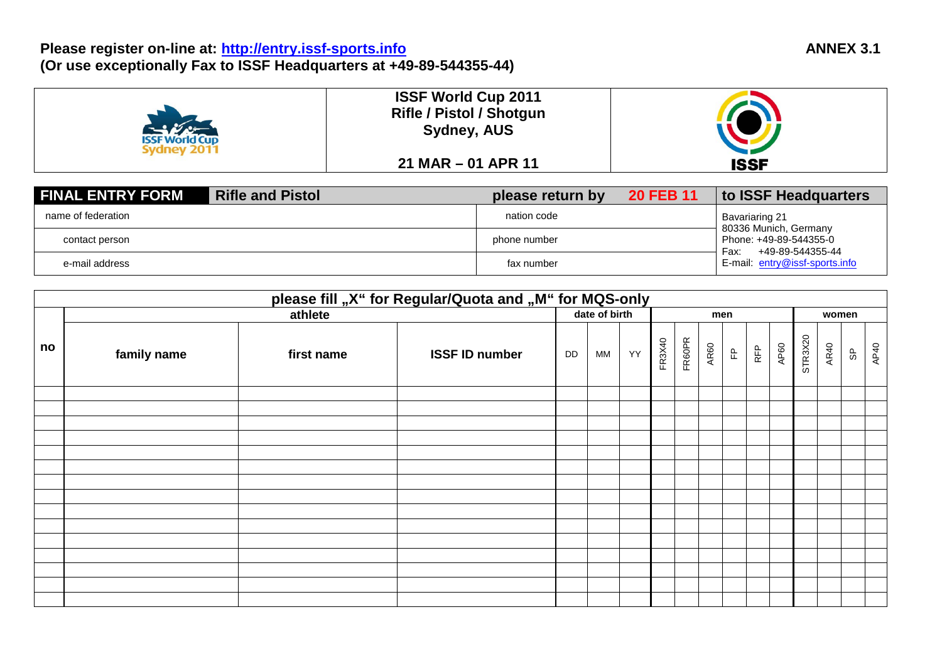### **Please register on-line at: [http://entry.issf-sports.info](http://entry.issf-sports.info/) (Or use exceptionally Fax to ISSF Headquarters at +49-89-544355-44)**

| <b>ISSF World Cup</b><br>vdnev 2011 | <b>ISSF World Cup 2011</b><br><b>Rifle / Pistol / Shotgun</b><br><b>Sydney, AUS</b> |             |
|-------------------------------------|-------------------------------------------------------------------------------------|-------------|
|                                     | $21$ MAR $-$ 01 APR 11                                                              | <b>ISSF</b> |

| <b>FINAL ENTRY FORM</b> | <b>Rifle and Pistol</b> | please return by | <b>20 FEB 11</b> | to ISSF Headquarters                               |  |  |
|-------------------------|-------------------------|------------------|------------------|----------------------------------------------------|--|--|
| name of federation      |                         | nation code      |                  | Bavariaring 21<br>80336 Munich, Germany            |  |  |
| contact person          |                         | phone number     |                  | Phone: +49-89-544355-0<br>+49-89-544355-44<br>Fax: |  |  |
| e-mail address          |                         | fax number       |                  | E-mail: entry@issf-sports.info                     |  |  |

|    | please fill "X" for Regular/Quota and "M" for MQS-only |            |                       |               |           |    |        |        |             |   |            |       |         |      |     |      |
|----|--------------------------------------------------------|------------|-----------------------|---------------|-----------|----|--------|--------|-------------|---|------------|-------|---------|------|-----|------|
|    |                                                        | athlete    |                       | date of birth |           |    | men    |        |             |   |            | women |         |      |     |      |
| no | family name                                            | first name | <b>ISSF ID number</b> | DD            | <b>MM</b> | YY | FR3X40 | FR60PR | <b>AR60</b> | E | <b>REP</b> | AP60  | STR3X20 | AR40 | မ္ပ | AP40 |
|    |                                                        |            |                       |               |           |    |        |        |             |   |            |       |         |      |     |      |
|    |                                                        |            |                       |               |           |    |        |        |             |   |            |       |         |      |     |      |
|    |                                                        |            |                       |               |           |    |        |        |             |   |            |       |         |      |     |      |
|    |                                                        |            |                       |               |           |    |        |        |             |   |            |       |         |      |     |      |
|    |                                                        |            |                       |               |           |    |        |        |             |   |            |       |         |      |     |      |
|    |                                                        |            |                       |               |           |    |        |        |             |   |            |       |         |      |     |      |
|    |                                                        |            |                       |               |           |    |        |        |             |   |            |       |         |      |     |      |
|    |                                                        |            |                       |               |           |    |        |        |             |   |            |       |         |      |     |      |
|    |                                                        |            |                       |               |           |    |        |        |             |   |            |       |         |      |     |      |
|    |                                                        |            |                       |               |           |    |        |        |             |   |            |       |         |      |     |      |
|    |                                                        |            |                       |               |           |    |        |        |             |   |            |       |         |      |     |      |
|    |                                                        |            |                       |               |           |    |        |        |             |   |            |       |         |      |     |      |
|    |                                                        |            |                       |               |           |    |        |        |             |   |            |       |         |      |     |      |
|    |                                                        |            |                       |               |           |    |        |        |             |   |            |       |         |      |     |      |
|    |                                                        |            |                       |               |           |    |        |        |             |   |            |       |         |      |     |      |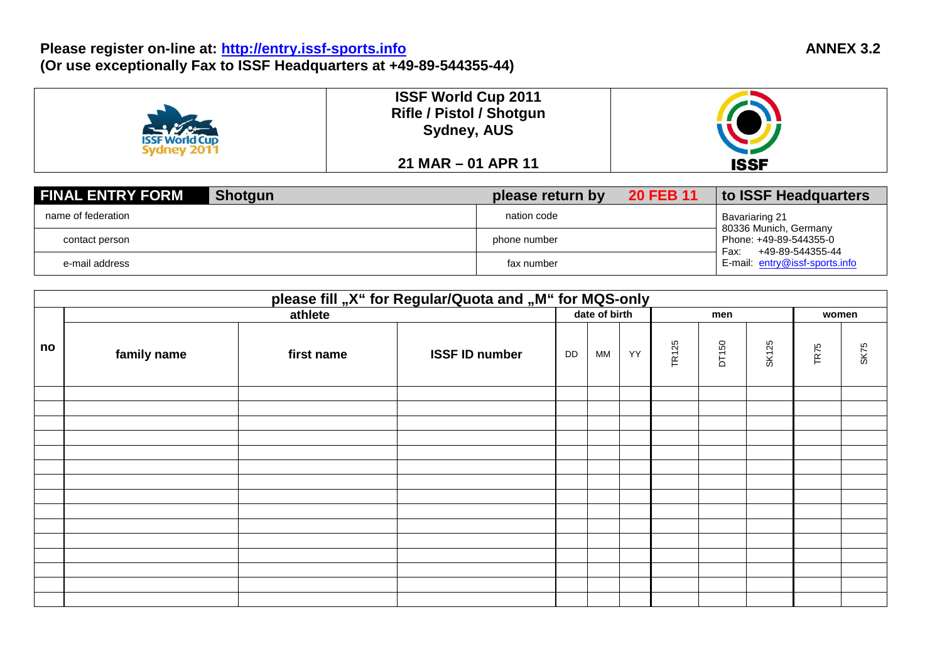### **Please register on-line at: [http://entry.issf-sports.info](http://entry.issf-sports.info/) (Or use exceptionally Fax to ISSF Headquarters at +49-89-544355-44)**

| <b>ISSF World Cup</b><br><b>Sydney 2011</b> | <b>ISSF World Cup 2011</b><br><b>Rifle / Pistol / Shotgun</b><br><b>Sydney, AUS</b> |             |
|---------------------------------------------|-------------------------------------------------------------------------------------|-------------|
|                                             | $21$ MAR $-$ 01 APR 11                                                              | <b>ISSF</b> |

| <b>FINAL ENTRY FORM</b><br><b>Shotgun</b> | please return by | <b>20 FEB 11</b> | to ISSF Headquarters                                                        |  |  |
|-------------------------------------------|------------------|------------------|-----------------------------------------------------------------------------|--|--|
| name of federation                        | nation code      |                  | Bavariaring 21                                                              |  |  |
| contact person                            | phone number     |                  | 80336 Munich, Germany<br>Phone: +49-89-544355-0<br>+49-89-544355-44<br>Fax: |  |  |
| e-mail address                            | fax number       |                  | E-mail: entry@issf-sports.info                                              |  |  |

|    | please fill "X" for Regular/Quota and "M" for MQS-only |            |                       |               |    |    |              |       |       |                  |      |
|----|--------------------------------------------------------|------------|-----------------------|---------------|----|----|--------------|-------|-------|------------------|------|
|    | athlete                                                |            |                       | date of birth |    |    | men          |       |       | women            |      |
| no | family name                                            | first name | <b>ISSF ID number</b> | DD            | MM | YY | <b>TR125</b> | DT150 | SK125 | TR <sub>75</sub> | SK75 |
|    |                                                        |            |                       |               |    |    |              |       |       |                  |      |
|    |                                                        |            |                       |               |    |    |              |       |       |                  |      |
|    |                                                        |            |                       |               |    |    |              |       |       |                  |      |
|    |                                                        |            |                       |               |    |    |              |       |       |                  |      |
|    |                                                        |            |                       |               |    |    |              |       |       |                  |      |
|    |                                                        |            |                       |               |    |    |              |       |       |                  |      |
|    |                                                        |            |                       |               |    |    |              |       |       |                  |      |
|    |                                                        |            |                       |               |    |    |              |       |       |                  |      |
|    |                                                        |            |                       |               |    |    |              |       |       |                  |      |
|    |                                                        |            |                       |               |    |    |              |       |       |                  |      |
|    |                                                        |            |                       |               |    |    |              |       |       |                  |      |
|    |                                                        |            |                       |               |    |    |              |       |       |                  |      |
|    |                                                        |            |                       |               |    |    |              |       |       |                  |      |
|    |                                                        |            |                       |               |    |    |              |       |       |                  |      |
|    |                                                        |            |                       |               |    |    |              |       |       |                  |      |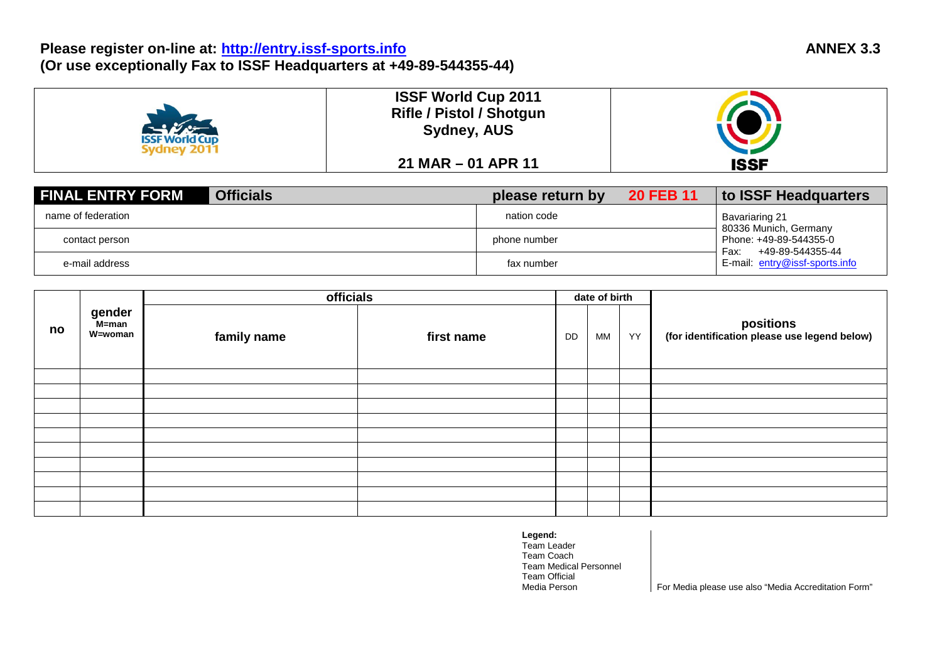### **Please register on-line at: [http://entry.issf-sports.info](http://entry.issf-sports.info/) (Or use exceptionally Fax to ISSF Headquarters at +49-89-544355-44)**

| <b>ISSF World Cup</b> | <b>ISSF World Cup 2011</b><br><b>Rifle / Pistol / Shotgun</b><br><b>Sydney, AUS</b> |             |
|-----------------------|-------------------------------------------------------------------------------------|-------------|
|                       | $21$ MAR $-$ 01 APR 11                                                              | <b>ISSF</b> |

| <b>FINAL ENTRY FORM</b><br><b>Officials</b> | please return by | <b>20 FEB 11</b> | to ISSF Headquarters                               |  |  |
|---------------------------------------------|------------------|------------------|----------------------------------------------------|--|--|
| name of federation                          | nation code      |                  | Bavariaring 21<br>80336 Munich, Germany            |  |  |
| contact person                              | phone number     |                  | Phone: +49-89-544355-0<br>+49-89-544355-44<br>Fax: |  |  |
| e-mail address                              | fax number       |                  | E-mail: entry@issf-sports.info                     |  |  |

|    |                            | officials   |            |    | date of birth |    |                                                           |
|----|----------------------------|-------------|------------|----|---------------|----|-----------------------------------------------------------|
| no | gender<br>M=man<br>W=woman | family name | first name | DD | МM            | YY | positions<br>(for identification please use legend below) |
|    |                            |             |            |    |               |    |                                                           |
|    |                            |             |            |    |               |    |                                                           |
|    |                            |             |            |    |               |    |                                                           |
|    |                            |             |            |    |               |    |                                                           |
|    |                            |             |            |    |               |    |                                                           |
|    |                            |             |            |    |               |    |                                                           |
|    |                            |             |            |    |               |    |                                                           |
|    |                            |             |            |    |               |    |                                                           |
|    |                            |             |            |    |               |    |                                                           |
|    |                            |             |            |    |               |    |                                                           |

**Legend:** Team Leader Team Coach Team Medical Personnel Team Official

For Media please use also "Media Accreditation Form"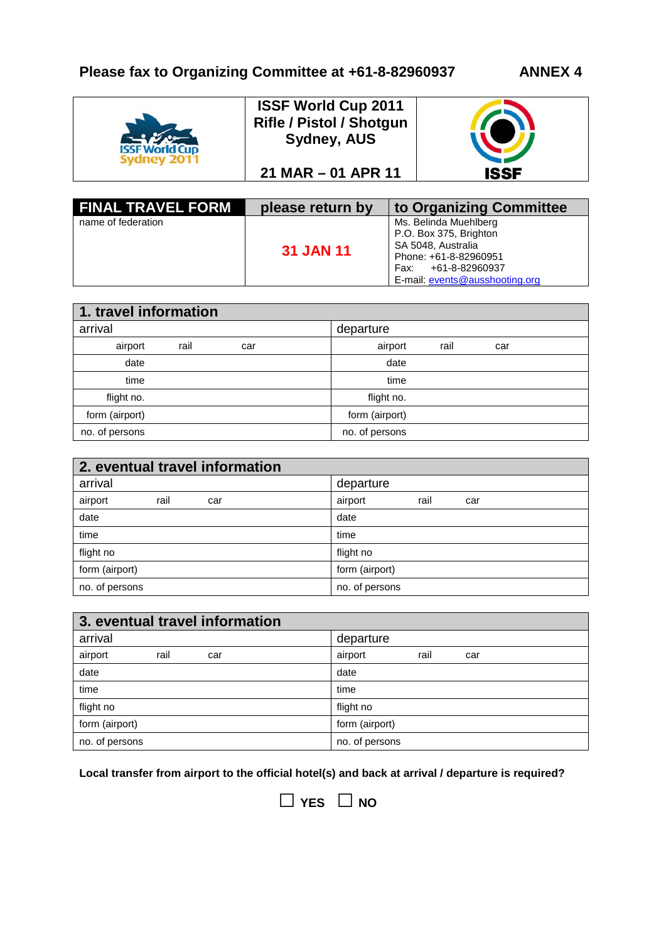

| <b>FINAL TRAVEL FORM</b> | please return by | to Organizing Committee                                                                                                                                    |
|--------------------------|------------------|------------------------------------------------------------------------------------------------------------------------------------------------------------|
| name of federation       | <b>31 JAN 11</b> | Ms. Belinda Muehlberg<br>P.O. Box 375, Brighton<br>SA 5048, Australia<br>Phone: +61-8-82960951<br>+61-8-82960937<br>Fax:<br>E-mail: events@ausshooting.org |

| 1. travel information |      |     |  |                |      |     |  |
|-----------------------|------|-----|--|----------------|------|-----|--|
| arrival               |      |     |  | departure      |      |     |  |
| airport               | rail | car |  | airport        | rail | car |  |
| date                  |      |     |  | date           |      |     |  |
| time                  |      |     |  | time           |      |     |  |
| flight no.            |      |     |  | flight no.     |      |     |  |
| form (airport)        |      |     |  | form (airport) |      |     |  |
| no. of persons        |      |     |  | no. of persons |      |     |  |

| 2. eventual travel information |                        |  |  |  |  |
|--------------------------------|------------------------|--|--|--|--|
| arrival                        | departure              |  |  |  |  |
| airport<br>rail<br>car         | airport<br>rail<br>car |  |  |  |  |
| date                           | date                   |  |  |  |  |
| time                           | time                   |  |  |  |  |
| flight no                      | flight no              |  |  |  |  |
| form (airport)                 | form (airport)         |  |  |  |  |
| no. of persons                 | no. of persons         |  |  |  |  |

| 3. eventual travel information |                        |  |  |  |  |
|--------------------------------|------------------------|--|--|--|--|
| arrival                        | departure              |  |  |  |  |
| airport<br>rail<br>car         | airport<br>rail<br>car |  |  |  |  |
| date                           | date                   |  |  |  |  |
| time                           | time                   |  |  |  |  |
| flight no                      | flight no              |  |  |  |  |
| form (airport)                 | form (airport)         |  |  |  |  |
| no. of persons                 | no. of persons         |  |  |  |  |

**Local transfer from airport to the official hotel(s) and back at arrival / departure is required?**

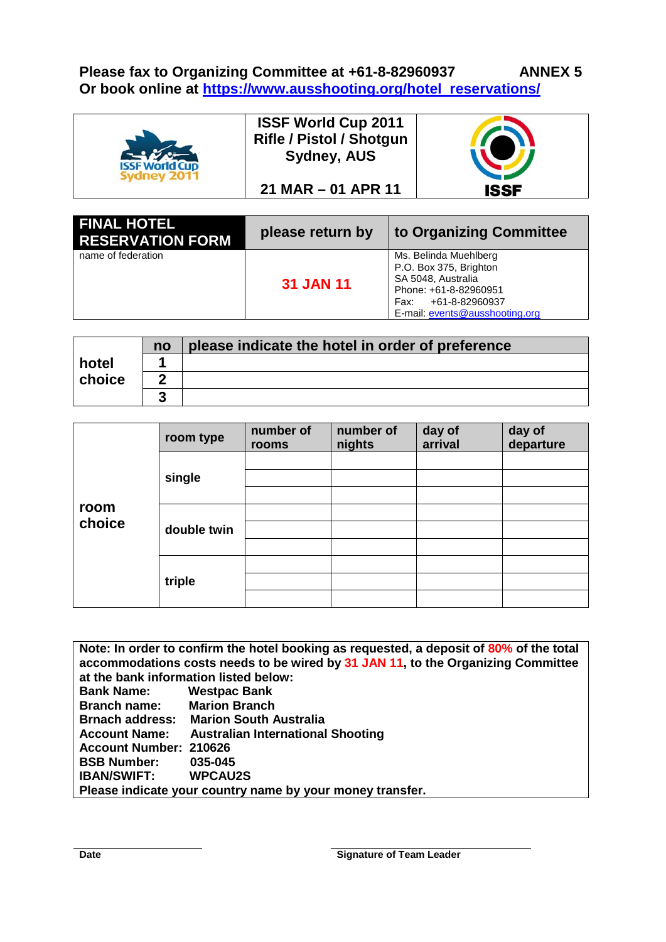**Please fax to Organizing Committee at +61-8-82960937 ANNEX 5 Or book online at [https://www.ausshooting.org/hotel\\_reservations/](https://www.ausshooting.org/hotel_reservations/)**



| <b>FINAL HOTEL</b><br><b>RESERVATION FORM</b> | please return by | to Organizing Committee                                                                                                                                 |
|-----------------------------------------------|------------------|---------------------------------------------------------------------------------------------------------------------------------------------------------|
| name of federation                            | <b>31 JAN 11</b> | Ms. Belinda Muehlberg<br>P.O. Box 375, Brighton<br>SA 5048, Australia<br>Phone: +61-8-82960951<br>Fax: +61-8-82960937<br>E-mail: events@ausshooting.org |

|        | no | please indicate the hotel in order of preference |
|--------|----|--------------------------------------------------|
| hotel  |    |                                                  |
| choice |    |                                                  |
|        | G  |                                                  |

|        | room type   | number of<br>rooms | number of<br>nights | day of<br>arrival | day of<br>departure |
|--------|-------------|--------------------|---------------------|-------------------|---------------------|
|        |             |                    |                     |                   |                     |
|        | single      |                    |                     |                   |                     |
|        |             |                    |                     |                   |                     |
| room   | double twin |                    |                     |                   |                     |
| choice |             |                    |                     |                   |                     |
|        |             |                    |                     |                   |                     |
|        | triple      |                    |                     |                   |                     |
|        |             |                    |                     |                   |                     |
|        |             |                    |                     |                   |                     |

**Note: In order to confirm the hotel booking as requested, a deposit of 80% of the total accommodations costs needs to be wired by 31 JAN 11, to the Organizing Committee at the bank information listed below: Bank Name: Westpac Bank Branch name: Brnach address: Marion South Australia Account Name: Australian International Shooting Account Number: 210626 BSB Number: 035-045 IBAN/SWIFT: WPCAU2S Please indicate your country name by your money transfer.**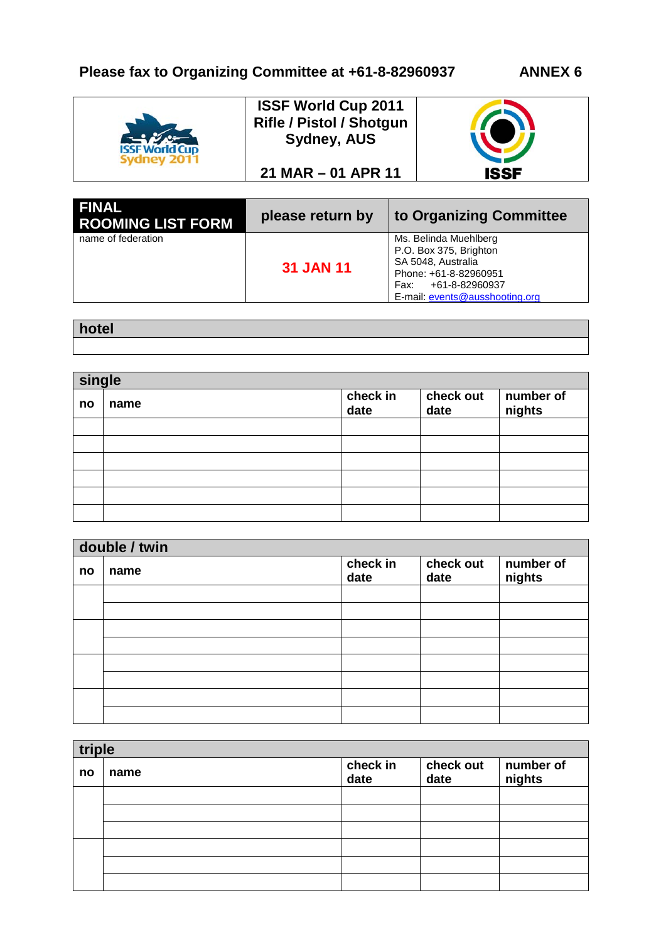

| <b>FINAL</b><br><b>ROOMING LIST FORM</b> | please return by | to Organizing Committee                                                                                                                                    |
|------------------------------------------|------------------|------------------------------------------------------------------------------------------------------------------------------------------------------------|
| name of federation                       | <b>31 JAN 11</b> | Ms. Belinda Muehlberg<br>P.O. Box 375, Brighton<br>SA 5048, Australia<br>Phone: +61-8-82960951<br>+61-8-82960937<br>Fax:<br>E-mail: events@ausshooting.org |

| hotel |  |  |
|-------|--|--|
|       |  |  |

| single |      |                  |                   |                     |  |
|--------|------|------------------|-------------------|---------------------|--|
| no     | name | check in<br>date | check out<br>date | number of<br>nights |  |
|        |      |                  |                   |                     |  |
|        |      |                  |                   |                     |  |
|        |      |                  |                   |                     |  |
|        |      |                  |                   |                     |  |
|        |      |                  |                   |                     |  |
|        |      |                  |                   |                     |  |

|    | double / twin |                  |                   |                     |  |  |  |
|----|---------------|------------------|-------------------|---------------------|--|--|--|
| no | name          | check in<br>date | check out<br>date | number of<br>nights |  |  |  |
|    |               |                  |                   |                     |  |  |  |
|    |               |                  |                   |                     |  |  |  |
|    |               |                  |                   |                     |  |  |  |
|    |               |                  |                   |                     |  |  |  |
|    |               |                  |                   |                     |  |  |  |
|    |               |                  |                   |                     |  |  |  |
|    |               |                  |                   |                     |  |  |  |
|    |               |                  |                   |                     |  |  |  |

| triple |      |                  |                   |                     |  |
|--------|------|------------------|-------------------|---------------------|--|
| no     | name | check in<br>date | check out<br>date | number of<br>nights |  |
|        |      |                  |                   |                     |  |
|        |      |                  |                   |                     |  |
|        |      |                  |                   |                     |  |
|        |      |                  |                   |                     |  |
|        |      |                  |                   |                     |  |
|        |      |                  |                   |                     |  |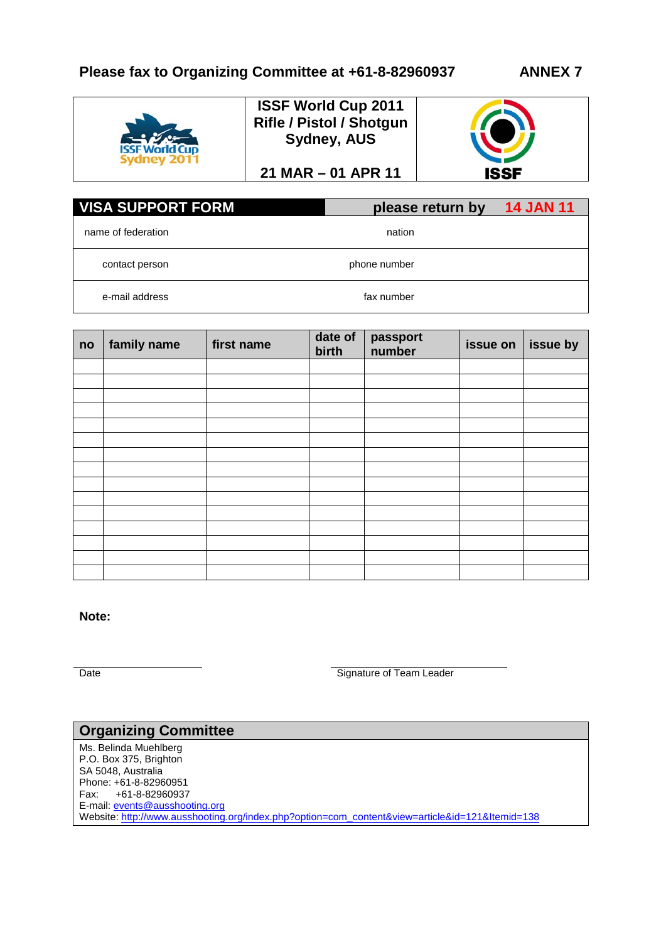# **Please fax to Organizing Committee at +61-8-82960937 ANNEX 7**



**ISSF World Cup 2011 Rifle / Pistol / Shotgun Sydney, AUS**

**21 MAR – 01 APR 11**



| <b>VISA SUPPORT FORM</b> | please return by | <b>14 JAN 11</b> |
|--------------------------|------------------|------------------|
| name of federation       | nation           |                  |
| contact person           | phone number     |                  |
| e-mail address           | fax number       |                  |

| no | family name | first name | date of<br>birth | passport<br>number | issue on | issue by |
|----|-------------|------------|------------------|--------------------|----------|----------|
|    |             |            |                  |                    |          |          |
|    |             |            |                  |                    |          |          |
|    |             |            |                  |                    |          |          |
|    |             |            |                  |                    |          |          |
|    |             |            |                  |                    |          |          |
|    |             |            |                  |                    |          |          |
|    |             |            |                  |                    |          |          |
|    |             |            |                  |                    |          |          |
|    |             |            |                  |                    |          |          |
|    |             |            |                  |                    |          |          |
|    |             |            |                  |                    |          |          |
|    |             |            |                  |                    |          |          |
|    |             |            |                  |                    |          |          |
|    |             |            |                  |                    |          |          |
|    |             |            |                  |                    |          |          |

**Note:**

Date **Signature of Team Leader** 

#### **Organizing Committee** Ms. Belinda Muehlberg P.O. Box 375, Brighton SA 5048, Australia Phone: +61-8-82960951 Fax: +61-8-82960937 E-mail: <u>[events@ausshooting.org](mailto:events@ausshooting.org)</u> Website[: http://www.ausshooting.org/index.php?option=com\\_content&view=article&id=121&Itemid=138](http://www.ausshooting.org/index.php?option=com_content&view=article&id=121&Itemid=138)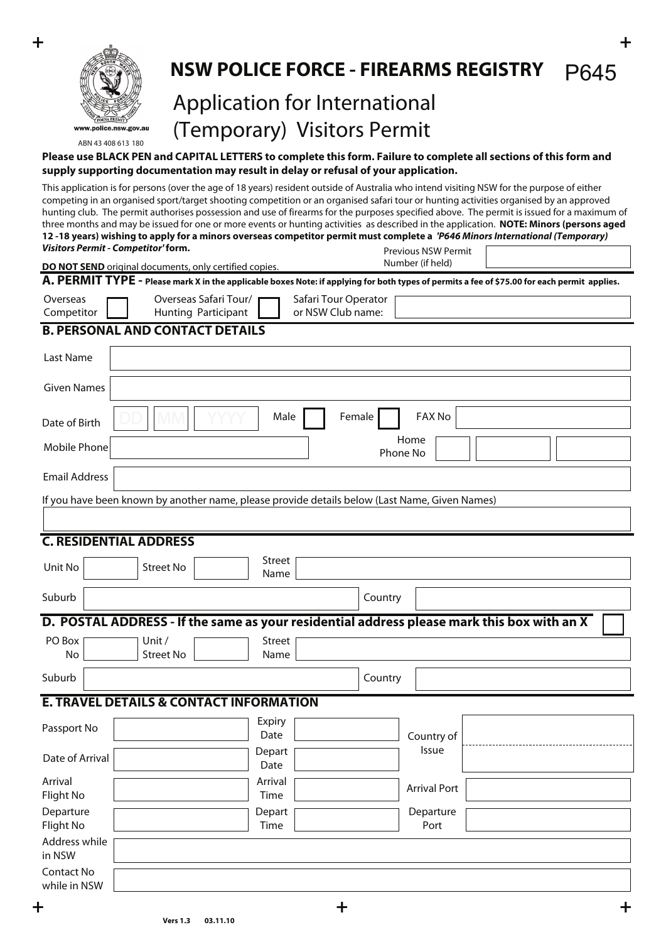

#### **NSW POLICE FORCE - FIREARMS REGISTRY** P645

# Application for International (Temporary) Visitors Permit

#### **Please use BLACK PEN and CAPITAL LETTERS to complete this form. Failure to complete all sections of this form and supply supporting documentation may result in delay or refusal of your application.**

Previous NSW Permit This application is for persons (over the age of 18 years) resident outside of Australia who intend visiting NSW for the purpose of either competing in an organised sport/target shooting competition or an organised safari tour or hunting activities organised by an approved hunting club. The permit authorises possession and use of firearms for the purposes specified above. The permit is issued for a maximum of three months and may be issued for one or more events or hunting activities as described in the application. **NOTE: Minors (persons aged 12 -18 years) wishing to apply for a minors overseas competitor permit must complete a** *'P646 Minors International (Temporary) Visitors Permit - Competitor'* **form.**

|                            | DO NOT SEND original documents, only certified copies.                                                                                       |                       |                                           | Number (if held)    |  |
|----------------------------|----------------------------------------------------------------------------------------------------------------------------------------------|-----------------------|-------------------------------------------|---------------------|--|
|                            | A. PERMIT TYPE - Please mark X in the applicable boxes Note: if applying for both types of permits a fee of \$75.00 for each permit applies. |                       |                                           |                     |  |
| Overseas<br>Competitor     | Overseas Safari Tour/<br>Hunting Participant                                                                                                 |                       | Safari Tour Operator<br>or NSW Club name: |                     |  |
|                            | <b>B. PERSONAL AND CONTACT DETAILS</b>                                                                                                       |                       |                                           |                     |  |
| Last Name                  |                                                                                                                                              |                       |                                           |                     |  |
| <b>Given Names</b>         |                                                                                                                                              |                       |                                           |                     |  |
| Date of Birth              |                                                                                                                                              | Male                  | Female                                    | <b>FAX No</b>       |  |
| Mobile Phone               |                                                                                                                                              |                       |                                           | Home<br>Phone No    |  |
| <b>Email Address</b>       |                                                                                                                                              |                       |                                           |                     |  |
|                            | If you have been known by another name, please provide details below (Last Name, Given Names)                                                |                       |                                           |                     |  |
|                            |                                                                                                                                              |                       |                                           |                     |  |
|                            | <b>C. RESIDENTIAL ADDRESS</b>                                                                                                                |                       |                                           |                     |  |
| Unit No                    | <b>Street No</b>                                                                                                                             | Street<br>Name        |                                           |                     |  |
| Suburb                     |                                                                                                                                              |                       | Country                                   |                     |  |
|                            | D. POSTAL ADDRESS - If the same as your residential address please mark this box with an X                                                   |                       |                                           |                     |  |
| PO Box<br>No               | Unit /<br><b>Street No</b>                                                                                                                   | <b>Street</b><br>Name |                                           |                     |  |
| Suburb                     |                                                                                                                                              |                       | Country                                   |                     |  |
|                            | <b>E. TRAVEL DETAILS &amp; CONTACT INFORMATION</b>                                                                                           |                       |                                           |                     |  |
| Passport No                |                                                                                                                                              | Expiry<br>Date        |                                           | Country of          |  |
| Date of Arrival            |                                                                                                                                              | Depart<br>Date        |                                           | Issue               |  |
| Arrival<br>Flight No       |                                                                                                                                              | Arrival<br>Time       |                                           | <b>Arrival Port</b> |  |
| Departure<br>Flight No     |                                                                                                                                              | Depart<br>Time        |                                           | Departure<br>Port   |  |
| Address while<br>in NSW    |                                                                                                                                              |                       |                                           |                     |  |
| Contact No<br>while in NSW |                                                                                                                                              |                       |                                           |                     |  |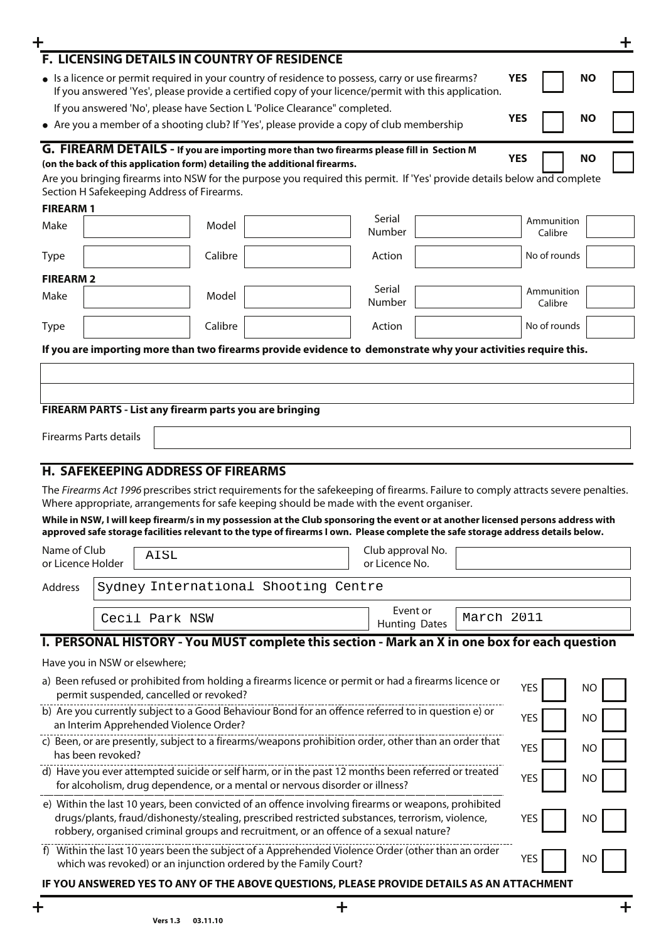| ╋                                 |                               |                                                         |         |                                                                                                                                                                                                                                                                       |                                     |                                  |            |                       |           | ╋ |
|-----------------------------------|-------------------------------|---------------------------------------------------------|---------|-----------------------------------------------------------------------------------------------------------------------------------------------------------------------------------------------------------------------------------------------------------------------|-------------------------------------|----------------------------------|------------|-----------------------|-----------|---|
|                                   |                               |                                                         |         | F. LICENSING DETAILS IN COUNTRY OF RESIDENCE                                                                                                                                                                                                                          |                                     |                                  |            |                       |           |   |
|                                   |                               |                                                         |         | • Is a licence or permit required in your country of residence to possess, carry or use firearms?<br>If you answered 'Yes', please provide a certified copy of your licence/permit with this application.                                                             |                                     |                                  |            | <b>YES</b>            | <b>NO</b> |   |
|                                   |                               |                                                         |         | If you answered 'No', please have Section L'Police Clearance" completed.<br>• Are you a member of a shooting club? If 'Yes', please provide a copy of club membership                                                                                                 |                                     |                                  |            | <b>YES</b>            | <b>NO</b> |   |
|                                   |                               |                                                         |         |                                                                                                                                                                                                                                                                       |                                     |                                  |            |                       |           |   |
|                                   |                               |                                                         |         | G. FIREARM DETAILS - If you are importing more than two firearms please fill in Section M<br>(on the back of this application form) detailing the additional firearms.                                                                                                |                                     |                                  |            | <b>YES</b>            | <b>NO</b> |   |
|                                   |                               |                                                         |         | Are you bringing firearms into NSW for the purpose you required this permit. If 'Yes' provide details below and complete                                                                                                                                              |                                     |                                  |            |                       |           |   |
|                                   |                               | Section H Safekeeping Address of Firearms.              |         |                                                                                                                                                                                                                                                                       |                                     |                                  |            |                       |           |   |
| <b>FIREARM1</b><br>Make           |                               |                                                         | Model   |                                                                                                                                                                                                                                                                       | Serial                              |                                  |            | Ammunition            |           |   |
|                                   |                               |                                                         |         |                                                                                                                                                                                                                                                                       | Number                              |                                  |            | Calibre               |           |   |
| <b>Type</b>                       |                               |                                                         | Calibre |                                                                                                                                                                                                                                                                       | Action                              |                                  |            | No of rounds          |           |   |
| <b>FIREARM 2</b>                  |                               |                                                         |         |                                                                                                                                                                                                                                                                       |                                     |                                  |            |                       |           |   |
| Make                              |                               |                                                         | Model   |                                                                                                                                                                                                                                                                       | Serial<br>Number                    |                                  |            | Ammunition<br>Calibre |           |   |
| <b>Type</b>                       |                               |                                                         | Calibre |                                                                                                                                                                                                                                                                       | Action                              |                                  |            | No of rounds          |           |   |
|                                   |                               |                                                         |         |                                                                                                                                                                                                                                                                       |                                     |                                  |            |                       |           |   |
|                                   |                               |                                                         |         | If you are importing more than two firearms provide evidence to demonstrate why your activities require this.                                                                                                                                                         |                                     |                                  |            |                       |           |   |
|                                   |                               |                                                         |         |                                                                                                                                                                                                                                                                       |                                     |                                  |            |                       |           |   |
|                                   |                               |                                                         |         |                                                                                                                                                                                                                                                                       |                                     |                                  |            |                       |           |   |
|                                   |                               | FIREARM PARTS - List any firearm parts you are bringing |         |                                                                                                                                                                                                                                                                       |                                     |                                  |            |                       |           |   |
|                                   | <b>Firearms Parts details</b> |                                                         |         |                                                                                                                                                                                                                                                                       |                                     |                                  |            |                       |           |   |
|                                   |                               |                                                         |         |                                                                                                                                                                                                                                                                       |                                     |                                  |            |                       |           |   |
|                                   |                               | <b>H. SAFEKEEPING ADDRESS OF FIREARMS</b>               |         |                                                                                                                                                                                                                                                                       |                                     |                                  |            |                       |           |   |
|                                   |                               |                                                         |         | The Firearms Act 1996 prescribes strict requirements for the safekeeping of firearms. Failure to comply attracts severe penalties.<br>Where appropriate, arrangements for safe keeping should be made with the event organiser.                                       |                                     |                                  |            |                       |           |   |
|                                   |                               |                                                         |         | While in NSW, I will keep firearm/s in my possession at the Club sponsoring the event or at another licensed persons address with<br>approved safe storage facilities relevant to the type of firearms I own. Please complete the safe storage address details below. |                                     |                                  |            |                       |           |   |
| Name of Club<br>or Licence Holder |                               | AISL                                                    |         |                                                                                                                                                                                                                                                                       | Club approval No.<br>or Licence No. |                                  |            |                       |           |   |
| Address                           |                               |                                                         |         | Sydney International Shooting Centre                                                                                                                                                                                                                                  |                                     |                                  |            |                       |           |   |
|                                   |                               |                                                         |         |                                                                                                                                                                                                                                                                       |                                     |                                  |            |                       |           |   |
|                                   |                               | Cecil Park NSW                                          |         |                                                                                                                                                                                                                                                                       |                                     | Event or<br><b>Hunting Dates</b> | March 2011 |                       |           |   |
|                                   |                               |                                                         |         | I. PERSONAL HISTORY - You MUST complete this section - Mark an X in one box for each question                                                                                                                                                                         |                                     |                                  |            |                       |           |   |
|                                   | Have you in NSW or elsewhere; |                                                         |         |                                                                                                                                                                                                                                                                       |                                     |                                  |            |                       |           |   |
|                                   |                               | permit suspended, cancelled or revoked?                 |         | a) Been refused or prohibited from holding a firearms licence or permit or had a firearms licence or                                                                                                                                                                  |                                     |                                  |            | <b>YES</b>            | <b>NO</b> |   |
|                                   |                               | an Interim Apprehended Violence Order?                  |         | b) Are you currently subject to a Good Behaviour Bond for an offence referred to in question e) or                                                                                                                                                                    |                                     |                                  |            | <b>YES</b>            | NO        |   |
|                                   |                               |                                                         |         | c) Been, or are presently, subject to a firearms/weapons prohibition order, other than an order that                                                                                                                                                                  |                                     |                                  |            |                       |           |   |
|                                   | has been revoked?             |                                                         |         |                                                                                                                                                                                                                                                                       |                                     |                                  |            | <b>YES</b>            | NO        |   |
|                                   |                               |                                                         |         | d) Have you ever attempted suicide or self harm, or in the past 12 months been referred or treated<br>for alcoholism, drug dependence, or a mental or nervous disorder or illness?                                                                                    |                                     |                                  |            | <b>YES</b>            | NO        |   |
|                                   |                               |                                                         |         | e) Within the last 10 years, been convicted of an offence involving firearms or weapons, prohibited                                                                                                                                                                   |                                     |                                  |            |                       |           |   |
|                                   |                               |                                                         |         | drugs/plants, fraud/dishonesty/stealing, prescribed restricted substances, terrorism, violence,<br>robbery, organised criminal groups and recruitment, or an offence of a sexual nature?                                                                              |                                     |                                  |            | <b>YES</b>            | NO.       |   |
|                                   |                               |                                                         |         | f) Within the last 10 years been the subject of a Apprehended Violence Order (other than an order<br>which was revoked) or an injunction ordered by the Family Court?                                                                                                 |                                     |                                  |            | <b>YES</b>            | NO.       |   |
|                                   |                               |                                                         |         | IF YOU ANSWERED YES TO ANY OF THE ABOVE QUESTIONS, PLEASE PROVIDE DETAILS AS AN ATTACHMENT                                                                                                                                                                            |                                     |                                  |            |                       |           |   |
|                                   |                               |                                                         |         |                                                                                                                                                                                                                                                                       |                                     |                                  |            |                       |           |   |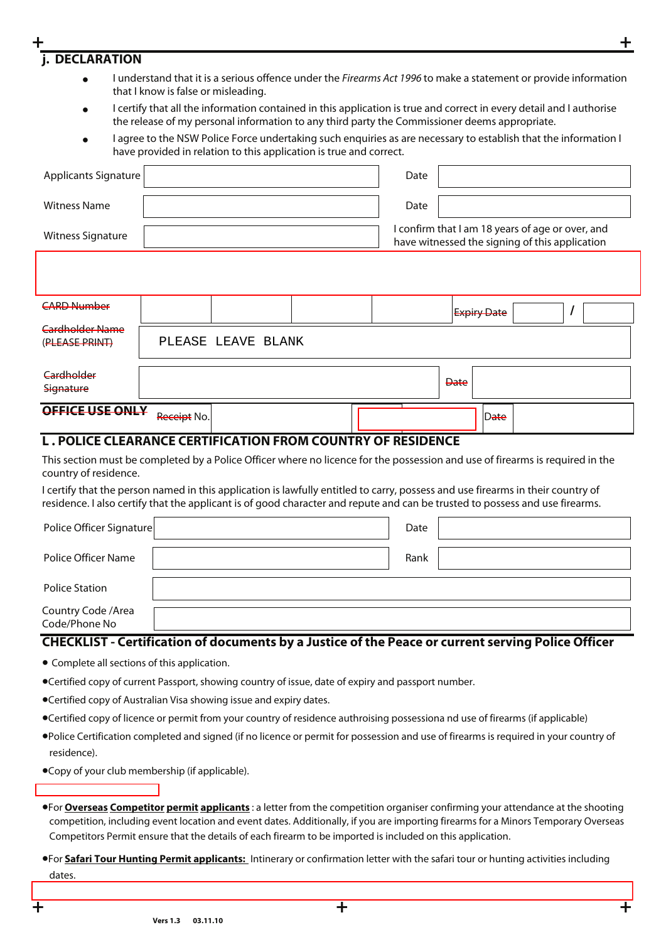#### I certify that all the information contained in this application is true and correct in every detail and I authorise the release of my personal information to any third party the Commissioner deems appropriate. **j. DECLARATION** I understand that it is a serious offence under the Firearms Act 1996 to make a statement or provide information that I know is false or misleading. • •

I agree to the NSW Police Force undertaking such enquiries as are necessary to establish that the information I have provided in relation to this application is true and correct. •

| <b>Applicants Signature</b>                                 |             |                                                                                                    |  | Date |             |      |  |  |
|-------------------------------------------------------------|-------------|----------------------------------------------------------------------------------------------------|--|------|-------------|------|--|--|
| <b>Witness Name</b>                                         |             |                                                                                                    |  | Date |             |      |  |  |
| <b>Witness Signature</b>                                    |             | I confirm that I am 18 years of age or over, and<br>have witnessed the signing of this application |  |      |             |      |  |  |
|                                                             |             |                                                                                                    |  |      |             |      |  |  |
| <b>CARD Number</b>                                          |             |                                                                                                    |  |      | Expiry Date |      |  |  |
| Cardholder Name<br>(PLEASE PRINT)                           |             | PLEASE LEAVE BLANK                                                                                 |  |      |             |      |  |  |
| Cardholder<br>Signature                                     |             |                                                                                                    |  |      | <b>Date</b> |      |  |  |
| OFFICE USE ONLY                                             | Receipt No. |                                                                                                    |  |      |             | Date |  |  |
| L. POLICE CLEARANCE CERTIFICATION FROM COUNTRY OF RESIDENCE |             |                                                                                                    |  |      |             |      |  |  |

This section must be completed by a Police Officer where no licence for the possession and use of firearms is required in the country of residence.

I certify that the person named in this application is lawfully entitled to carry, possess and use firearms in their country of residence. I also certify that the applicant is of good character and repute and can be trusted to possess and use firearms.

| Police Officer Signature             | Date |  |
|--------------------------------------|------|--|
| Police Officer Name                  | Rank |  |
| <b>Police Station</b>                |      |  |
| Country Code / Area<br>Code/Phone No |      |  |

#### **CHECKLIST - Certification of documents by a Justice of the Peace or current serving Police Officer**

- Complete all sections of this application.
- •Certified copy of current Passport, showing country of issue, date of expiry and passport number.
- •Certified copy of Australian Visa showing issue and expiry dates.
- •Certified copy of licence or permit from your country of residence authroising possessiona nd use of firearms (if applicable)
- •Police Certification completed and signed (if no licence or permit for possession and use of firearms is required in your country of residence).
- •Copy of your club membership (if applicable).

•Payment of AUD \$75.00.

- •For **Overseas Competitor permit applicants** : a letter from the competition organiser confirming your attendance at the shooting competition, including event location and event dates. Additionally, if you are importing firearms for a Minors Temporary Overseas Competitors Permit ensure that the details of each firearm to be imported is included on this application.
- •For **Safari Tour Hunting Permit applicants:** Intinerary or confirmation letter with the safari tour or hunting activities including dates.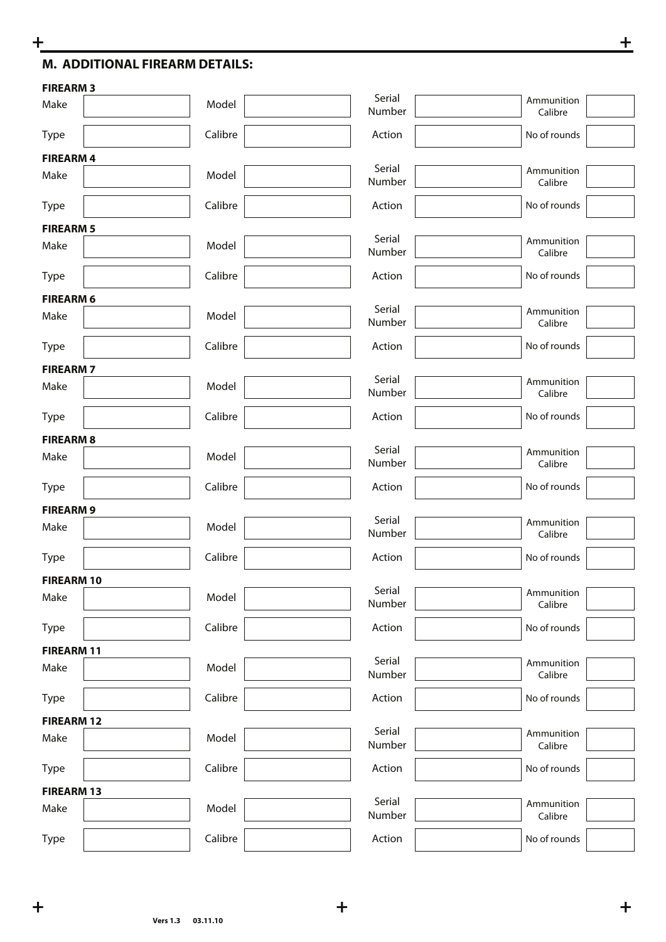# **M. ADDITIONAL FIREARM DETAILS:**

| <b>FIREARM3</b>   |         |                  |                       |
|-------------------|---------|------------------|-----------------------|
| Make              | Model   | Serial<br>Number | Ammunition<br>Calibre |
| Type              | Calibre | Action           | No of rounds          |
| <b>FIREARM4</b>   |         |                  |                       |
| Make              | Model   | Serial<br>Number | Ammunition<br>Calibre |
| Type              | Calibre | Action           | No of rounds          |
| <b>FIREARM 5</b>  |         |                  |                       |
| Make              | Model   | Serial<br>Number | Ammunition<br>Calibre |
| Type              | Calibre | Action           | No of rounds          |
| <b>FIREARM 6</b>  |         |                  |                       |
| Make              | Model   | Serial<br>Number | Ammunition<br>Calibre |
| Type              | Calibre | Action           | No of rounds          |
| <b>FIREARM7</b>   |         |                  |                       |
| Make              | Model   | Serial<br>Number | Ammunition<br>Calibre |
| Type              | Calibre | Action           | No of rounds          |
| <b>FIREARM8</b>   |         |                  |                       |
| Make              | Model   | Serial<br>Number | Ammunition<br>Calibre |
| Type              | Calibre | Action           | No of rounds          |
| <b>FIREARM9</b>   |         |                  |                       |
| Make              | Model   | Serial<br>Number | Ammunition<br>Calibre |
| Type              | Calibre | Action           | No of rounds          |
| <b>FIREARM 10</b> |         | Serial           |                       |
| Make              | Model   | Number           | Ammunition<br>Calibre |
| Type              | Calibre | Action           | No of rounds          |
| <b>FIREARM 11</b> |         | Serial           |                       |
| Make              | Model   | Number           | Ammunition<br>Calibre |
| Type              | Calibre | Action           | No of rounds          |
| <b>FIREARM 12</b> |         | Serial           |                       |
| Make              | Model   | Number           | Ammunition<br>Calibre |
| Type              | Calibre | Action           | No of rounds          |
| <b>FIREARM 13</b> |         | Serial           |                       |
| Make              | Model   | Number           | Ammunition<br>Calibre |
| Type              | Calibre | Action           | No of rounds          |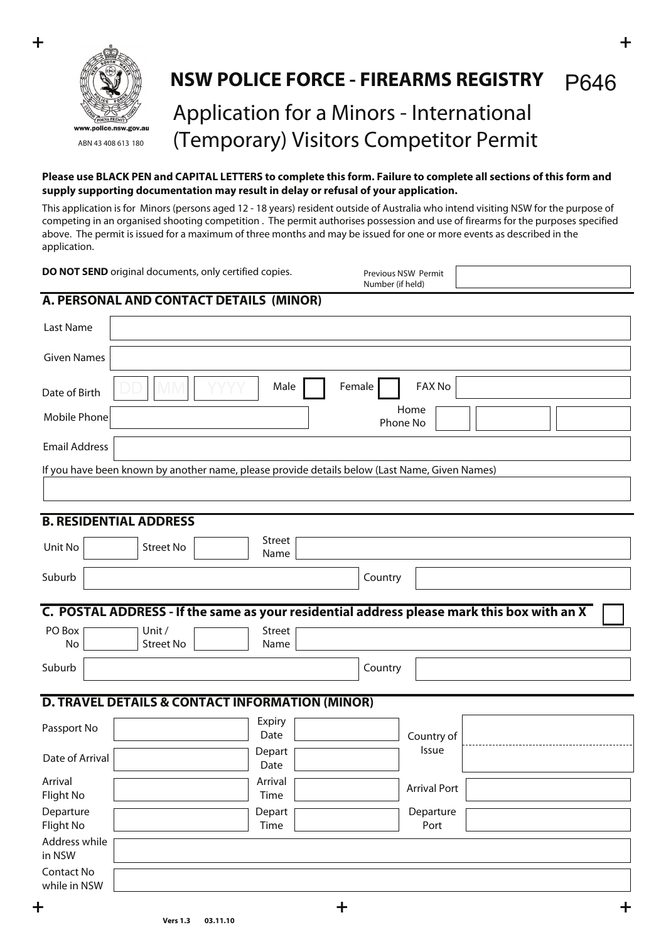

#### **NSW POLICE FORCE - FIREARMS REGISTRY** P646

# Application for a Minors - International (Temporary) Visitors Competitor Permit

#### **Please use BLACK PEN and CAPITAL LETTERS to complete this form. Failure to complete all sections of this form and supply supporting documentation may result in delay or refusal of your application.**

This application is for Minors (persons aged 12 - 18 years) resident outside of Australia who intend visiting NSW for the purpose of competing in an organised shooting competition . The permit authorises possession and use of firearms for the purposes specified above. The permit is issued for a maximum of three months and may be issued for one or more events as described in the application.

| DO NOT SEND original documents, only certified copies.                                                                                   |                       | Previous NSW Permit<br>Number (if held) |                     |  |
|------------------------------------------------------------------------------------------------------------------------------------------|-----------------------|-----------------------------------------|---------------------|--|
| A. PERSONAL AND CONTACT DETAILS (MINOR)                                                                                                  |                       |                                         |                     |  |
| Last Name                                                                                                                                |                       |                                         |                     |  |
| <b>Given Names</b>                                                                                                                       |                       |                                         |                     |  |
| Date of Birth                                                                                                                            | Male                  | Female                                  | FAX No              |  |
| Mobile Phone                                                                                                                             |                       | Phone No                                | Home                |  |
| <b>Email Address</b>                                                                                                                     |                       |                                         |                     |  |
| If you have been known by another name, please provide details below (Last Name, Given Names)                                            |                       |                                         |                     |  |
| <b>B. RESIDENTIAL ADDRESS</b>                                                                                                            |                       |                                         |                     |  |
| Unit No<br><b>Street No</b>                                                                                                              | <b>Street</b><br>Name |                                         |                     |  |
| Suburb                                                                                                                                   |                       | Country                                 |                     |  |
| C. POSTAL ADDRESS - If the same as your residential address please mark this box with an X<br>PO Box<br>Unit /<br><b>Street No</b><br>No | <b>Street</b><br>Name |                                         |                     |  |
| Suburb                                                                                                                                   |                       | Country                                 |                     |  |
| <b>D. TRAVEL DETAILS &amp; CONTACT INFORMATION (MINOR)</b>                                                                               |                       |                                         |                     |  |
| Passport No                                                                                                                              | Expiry<br>Date        |                                         | Country of          |  |
| Date of Arrival                                                                                                                          | Depart<br>Date        |                                         | Issue               |  |
| Arrival<br>Flight No                                                                                                                     | Arrival<br>Time       |                                         | <b>Arrival Port</b> |  |
| Departure<br>Flight No                                                                                                                   | Depart<br>Time        |                                         | Departure<br>Port   |  |
| Address while<br>in NSW                                                                                                                  |                       |                                         |                     |  |
| Contact No<br>while in NSW                                                                                                               |                       |                                         |                     |  |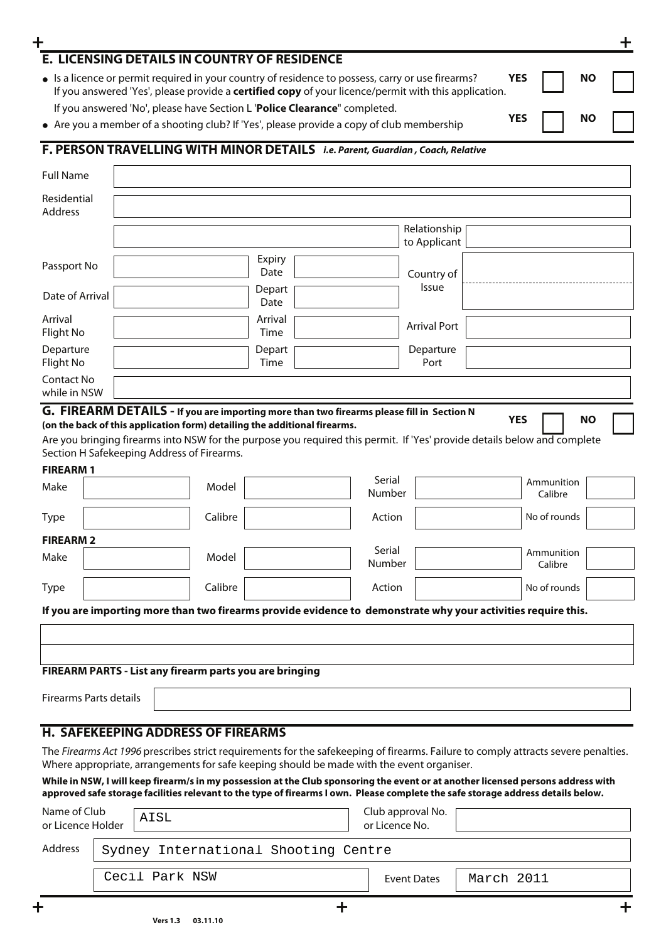| E. LICENSING DETAILS IN COUNTRY OF RESIDENCE                                                                             |                                                                                                                                                                                                                                                                       |                |                |                              |            |                       |           | ╋ |
|--------------------------------------------------------------------------------------------------------------------------|-----------------------------------------------------------------------------------------------------------------------------------------------------------------------------------------------------------------------------------------------------------------------|----------------|----------------|------------------------------|------------|-----------------------|-----------|---|
|                                                                                                                          | • Is a licence or permit required in your country of residence to possess, carry or use firearms?                                                                                                                                                                     |                |                |                              | <b>YES</b> |                       | <b>NO</b> |   |
|                                                                                                                          | If you answered 'Yes', please provide a certified copy of your licence/permit with this application.                                                                                                                                                                  |                |                |                              |            |                       |           |   |
|                                                                                                                          | If you answered 'No', please have Section L 'Police Clearance" completed.                                                                                                                                                                                             |                |                |                              | <b>YES</b> |                       | <b>NO</b> |   |
| • Are you a member of a shooting club? If 'Yes', please provide a copy of club membership                                |                                                                                                                                                                                                                                                                       |                |                |                              |            |                       |           |   |
| F. PERSON TRAVELLING WITH MINOR DETAILS i.e. Parent, Guardian, Coach, Relative                                           |                                                                                                                                                                                                                                                                       |                |                |                              |            |                       |           |   |
| <b>Full Name</b>                                                                                                         |                                                                                                                                                                                                                                                                       |                |                |                              |            |                       |           |   |
| Residential<br><b>Address</b>                                                                                            |                                                                                                                                                                                                                                                                       |                |                |                              |            |                       |           |   |
|                                                                                                                          |                                                                                                                                                                                                                                                                       |                |                | Relationship<br>to Applicant |            |                       |           |   |
|                                                                                                                          |                                                                                                                                                                                                                                                                       | Expiry         |                |                              |            |                       |           |   |
| Passport No                                                                                                              |                                                                                                                                                                                                                                                                       | Date           |                | Country of                   |            |                       |           |   |
| Date of Arrival                                                                                                          |                                                                                                                                                                                                                                                                       | Depart<br>Date |                | Issue                        |            |                       |           |   |
| Arrival                                                                                                                  |                                                                                                                                                                                                                                                                       | Arrival        |                |                              |            |                       |           |   |
| Flight No                                                                                                                |                                                                                                                                                                                                                                                                       | Time           |                | <b>Arrival Port</b>          |            |                       |           |   |
| Departure<br>Flight No                                                                                                   |                                                                                                                                                                                                                                                                       | Depart<br>Time |                | Departure<br>Port            |            |                       |           |   |
| Contact No                                                                                                               |                                                                                                                                                                                                                                                                       |                |                |                              |            |                       |           |   |
| while in NSW                                                                                                             |                                                                                                                                                                                                                                                                       |                |                |                              |            |                       |           |   |
| G. FIREARM DETAILS - If you are importing more than two firearms please fill in Section N                                |                                                                                                                                                                                                                                                                       |                |                |                              |            |                       |           |   |
| (on the back of this application form) detailing the additional firearms.                                                |                                                                                                                                                                                                                                                                       |                |                |                              | <b>YES</b> |                       | <b>NO</b> |   |
| Are you bringing firearms into NSW for the purpose you required this permit. If 'Yes' provide details below and complete |                                                                                                                                                                                                                                                                       |                |                |                              |            |                       |           |   |
| Section H Safekeeping Address of Firearms.                                                                               |                                                                                                                                                                                                                                                                       |                |                |                              |            |                       |           |   |
| <b>FIREARM1</b><br>Make                                                                                                  | Model                                                                                                                                                                                                                                                                 |                | Serial         |                              |            | Ammunition            |           |   |
|                                                                                                                          |                                                                                                                                                                                                                                                                       |                | Number         |                              |            | Calibre               |           |   |
| <b>Type</b>                                                                                                              | Calibre                                                                                                                                                                                                                                                               |                | Action         |                              |            | No of rounds          |           |   |
| <b>FIREARM 2</b>                                                                                                         |                                                                                                                                                                                                                                                                       |                | Serial         |                              |            |                       |           |   |
| Make                                                                                                                     | Model                                                                                                                                                                                                                                                                 |                | Number         |                              |            | Ammunition<br>Calibre |           |   |
| <b>Type</b>                                                                                                              | Calibre                                                                                                                                                                                                                                                               |                | Action         |                              |            | No of rounds          |           |   |
|                                                                                                                          | If you are importing more than two firearms provide evidence to demonstrate why your activities require this.                                                                                                                                                         |                |                |                              |            |                       |           |   |
|                                                                                                                          |                                                                                                                                                                                                                                                                       |                |                |                              |            |                       |           |   |
|                                                                                                                          |                                                                                                                                                                                                                                                                       |                |                |                              |            |                       |           |   |
|                                                                                                                          | FIREARM PARTS - List any firearm parts you are bringing                                                                                                                                                                                                               |                |                |                              |            |                       |           |   |
| <b>Firearms Parts details</b>                                                                                            |                                                                                                                                                                                                                                                                       |                |                |                              |            |                       |           |   |
|                                                                                                                          |                                                                                                                                                                                                                                                                       |                |                |                              |            |                       |           |   |
|                                                                                                                          | <b>H. SAFEKEEPING ADDRESS OF FIREARMS</b>                                                                                                                                                                                                                             |                |                |                              |            |                       |           |   |
|                                                                                                                          | The Firearms Act 1996 prescribes strict requirements for the safekeeping of firearms. Failure to comply attracts severe penalties.                                                                                                                                    |                |                |                              |            |                       |           |   |
|                                                                                                                          | Where appropriate, arrangements for safe keeping should be made with the event organiser.                                                                                                                                                                             |                |                |                              |            |                       |           |   |
|                                                                                                                          | While in NSW, I will keep firearm/s in my possession at the Club sponsoring the event or at another licensed persons address with<br>approved safe storage facilities relevant to the type of firearms I own. Please complete the safe storage address details below. |                |                |                              |            |                       |           |   |
| Name of Club<br>AISL<br>or Licence Holder                                                                                |                                                                                                                                                                                                                                                                       |                | or Licence No. | Club approval No.            |            |                       |           |   |
| Address                                                                                                                  | Sydney International Shooting Centre                                                                                                                                                                                                                                  |                |                |                              |            |                       |           |   |
|                                                                                                                          |                                                                                                                                                                                                                                                                       |                |                |                              |            |                       |           |   |

| <b>NSW</b><br>Cecil Park | <b>Event Dates</b> | March | 2011 |
|--------------------------|--------------------|-------|------|

**Vers 1.3 03.11.10**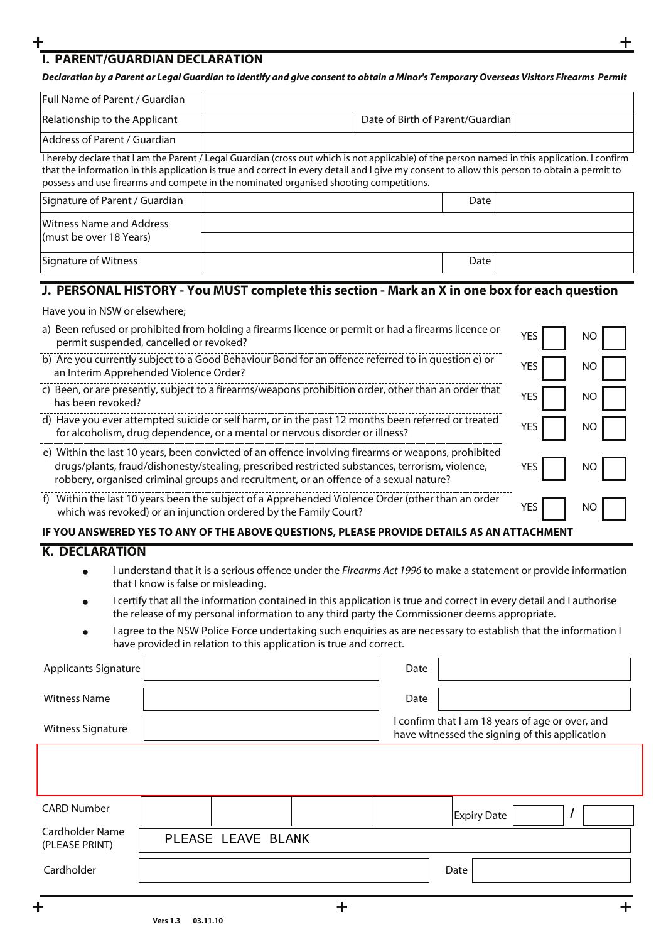### **+ + I. PARENT/GUARDIAN DECLARATION**

#### *Declaration by a Parent or Legal Guardian to Identify and give consent to obtain a Minor's Temporary Overseas Visitors Firearms Permit*

| Full Name of Parent / Guardian                                                                                                                                                                                                                                                                                                                                                           |                                  |  |  |  |  |  |  |
|------------------------------------------------------------------------------------------------------------------------------------------------------------------------------------------------------------------------------------------------------------------------------------------------------------------------------------------------------------------------------------------|----------------------------------|--|--|--|--|--|--|
| Relationship to the Applicant                                                                                                                                                                                                                                                                                                                                                            | Date of Birth of Parent/Guardian |  |  |  |  |  |  |
| Address of Parent / Guardian                                                                                                                                                                                                                                                                                                                                                             |                                  |  |  |  |  |  |  |
| I hereby declare that I am the Parent / Legal Guardian (cross out which is not applicable) of the person named in this application. I confirm<br>that the information in this application is true and correct in every detail and I give my consent to allow this person to obtain a permit to<br>possess and use firearms and compete in the nominated organised shooting competitions. |                                  |  |  |  |  |  |  |
| Signature of Parent / Guardian                                                                                                                                                                                                                                                                                                                                                           | Datel                            |  |  |  |  |  |  |
| Witness Name and Address<br>(must be over 18 Years)                                                                                                                                                                                                                                                                                                                                      |                                  |  |  |  |  |  |  |
| Signature of Witness                                                                                                                                                                                                                                                                                                                                                                     | Date                             |  |  |  |  |  |  |

# **J. PERSONAL HISTORY - You MUST complete this section - Mark an X in one box for each question**

| Have you in NSW or elsewhere; |
|-------------------------------|
|-------------------------------|

| a) Been refused or prohibited from holding a firearms licence or permit or had a firearms licence or<br>permit suspended, cancelled or revoked?                                                                                                                                                 | YES | NΟ |  |  |  |  |  |
|-------------------------------------------------------------------------------------------------------------------------------------------------------------------------------------------------------------------------------------------------------------------------------------------------|-----|----|--|--|--|--|--|
| b) Are you currently subject to a Good Behaviour Bond for an offence referred to in question e) or<br>an Interim Apprehended Violence Order?                                                                                                                                                    | YES | ΝO |  |  |  |  |  |
| c) Been, or are presently, subject to a firearms/weapons prohibition order, other than an order that<br>has been revoked?                                                                                                                                                                       | YES | ΝO |  |  |  |  |  |
| d) Have you ever attempted suicide or self harm, or in the past 12 months been referred or treated<br>for alcoholism, drug dependence, or a mental or nervous disorder or illness?                                                                                                              | YES | ΝO |  |  |  |  |  |
| e) Within the last 10 years, been convicted of an offence involving firearms or weapons, prohibited<br>drugs/plants, fraud/dishonesty/stealing, prescribed restricted substances, terrorism, violence,<br>robbery, organised criminal groups and recruitment, or an offence of a sexual nature? | YES | ΝO |  |  |  |  |  |
| f) Within the last 10 years been the subject of a Apprehended Violence Order (other than an order<br>which was revoked) or an injunction ordered by the Family Court?                                                                                                                           | YES | ΝO |  |  |  |  |  |
| IF YOU ANSWERED YES TO ANY OF THE ABOVE QUESTIONS, PLEASE PROVIDE DETAILS AS AN ATTACHMENT                                                                                                                                                                                                      |     |    |  |  |  |  |  |

#### **K. DECLARATION**

- I understand that it is a serious offence under the Firearms Act 1996 to make a statement or provide information that I know is false or misleading. •
- I certify that all the information contained in this application is true and correct in every detail and I authorise the release of my personal information to any third party the Commissioner deems appropriate. •
- I agree to the NSW Police Force undertaking such enquiries as are necessary to establish that the information I have provided in relation to this application is true and correct. •

| <b>Applicants Signature</b>              | Date                                                                                               |
|------------------------------------------|----------------------------------------------------------------------------------------------------|
| <b>Witness Name</b>                      | Date                                                                                               |
| <b>Witness Signature</b>                 | I confirm that I am 18 years of age or over, and<br>have witnessed the signing of this application |
|                                          |                                                                                                    |
|                                          |                                                                                                    |
| <b>CARD Number</b>                       | <b>Expiry Date</b><br>$\prime$                                                                     |
| <b>Cardholder Name</b><br>(PLEASE PRINT) | PLEASE<br>LEAVE<br>BLANK                                                                           |
| Cardholder                               | Date                                                                                               |
| ╋                                        |                                                                                                    |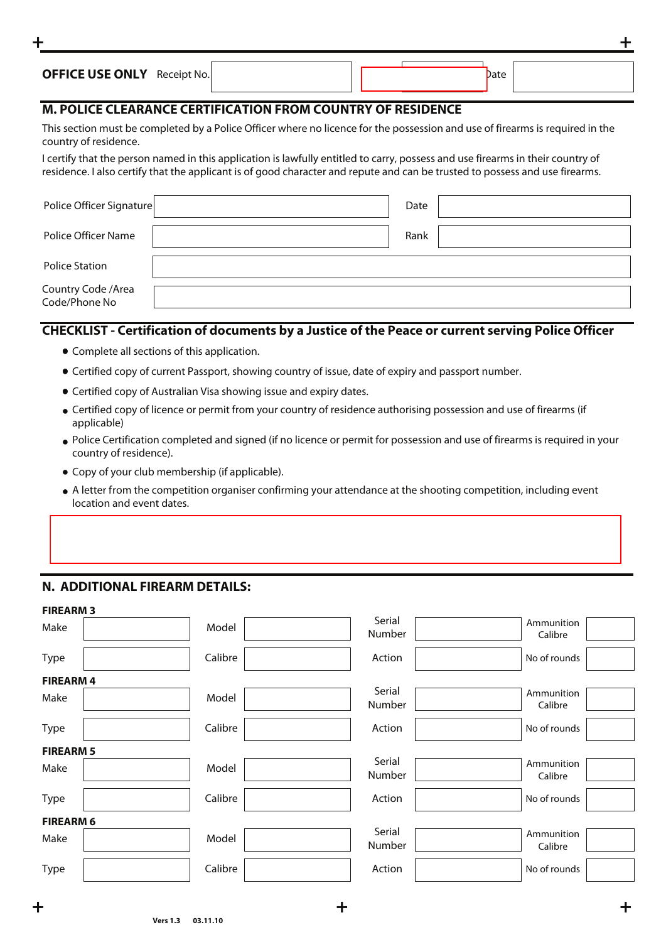| <b>OFFICE USE ONLY</b> Receipt No. |  | Date |  |
|------------------------------------|--|------|--|
|                                    |  |      |  |

**+ +**

#### **M. POLICE CLEARANCE CERTIFICATION FROM COUNTRY OF RESIDENCE**

This section must be completed by a Police Officer where no licence for the possession and use of firearms is required in the country of residence.

I certify that the person named in this application is lawfully entitled to carry, possess and use firearms in their country of residence. I also certify that the applicant is of good character and repute and can be trusted to possess and use firearms.

| Police Officer Signature             | Date |  |
|--------------------------------------|------|--|
| Police Officer Name                  | Rank |  |
| <b>Police Station</b>                |      |  |
| Country Code / Area<br>Code/Phone No |      |  |

#### **CHECKLIST - Certification of documents by a Justice of the Peace or current serving Police Officer**

- Complete all sections of this application.
- Certified copy of current Passport, showing country of issue, date of expiry and passport number.
- Certified copy of Australian Visa showing issue and expiry dates.
- Certified copy of licence or permit from your country of residence authorising possession and use of firearms (if applicable)
- Police Certification completed and signed (if no licence or permit for possession and use of firearms is required in your country of residence).
- Copy of your club membership (if applicable).
- A letter from the competition organiser confirming your attendance at the shooting competition, including event location and event dates.

#### **N. ADDITIONAL FIREARM DETAILS:**

•

| <b>FIREARM 3</b> |         |                  |                       |
|------------------|---------|------------------|-----------------------|
| Make             | Model   | Serial<br>Number | Ammunition<br>Calibre |
| Type             | Calibre | Action           | No of rounds          |
| <b>FIREARM4</b>  |         |                  |                       |
| Make             | Model   | Serial<br>Number | Ammunition<br>Calibre |
| Type             | Calibre | Action           | No of rounds          |
| <b>FIREARM 5</b> |         |                  |                       |
| Make             | Model   | Serial<br>Number | Ammunition<br>Calibre |
| Type             | Calibre | Action           | No of rounds          |
| <b>FIREARM 6</b> |         |                  |                       |
| Make             | Model   | Serial<br>Number | Ammunition<br>Calibre |
| <b>Type</b>      | Calibre | Action           | No of rounds          |